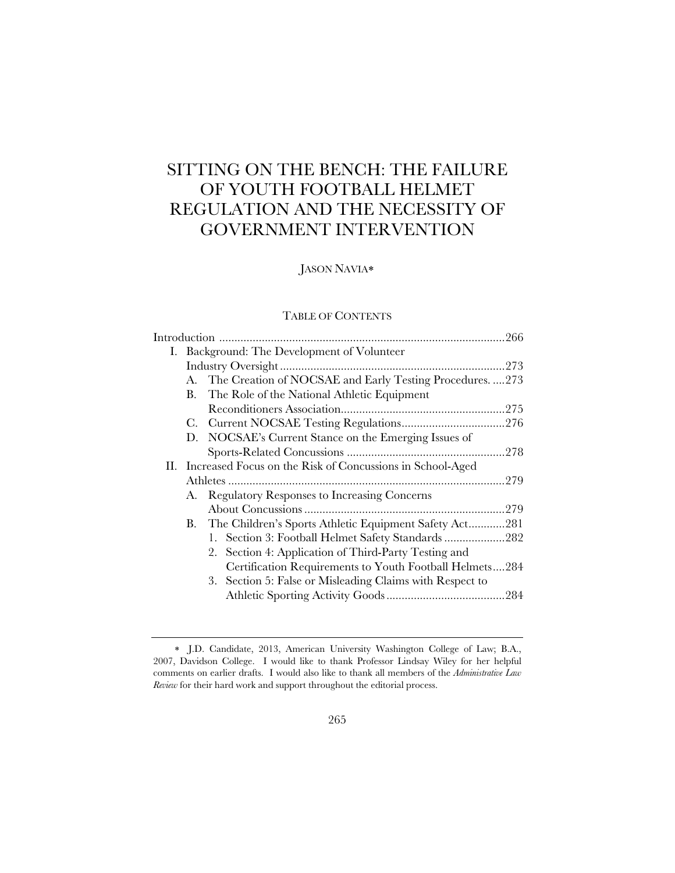# SITTING ON THE BENCH: THE FAILURE OF YOUTH FOOTBALL HELMET REGULATION AND THE NECESSITY OF GOVERNMENT INTERVENTION

## JASON NAVIA

## TABLE OF CONTENTS

|  |                                                               | I. Background: The Development of Volunteer                 |  |  |
|--|---------------------------------------------------------------|-------------------------------------------------------------|--|--|
|  |                                                               |                                                             |  |  |
|  |                                                               | A. The Creation of NOCSAE and Early Testing Procedures. 273 |  |  |
|  | В.                                                            | The Role of the National Athletic Equipment                 |  |  |
|  |                                                               |                                                             |  |  |
|  | C.                                                            |                                                             |  |  |
|  | D.                                                            | NOCSAE's Current Stance on the Emerging Issues of           |  |  |
|  |                                                               |                                                             |  |  |
|  | II. Increased Focus on the Risk of Concussions in School-Aged |                                                             |  |  |
|  |                                                               |                                                             |  |  |
|  | А.                                                            | Regulatory Responses to Increasing Concerns                 |  |  |
|  |                                                               |                                                             |  |  |
|  |                                                               | B. The Children's Sports Athletic Equipment Safety Act281   |  |  |
|  |                                                               | 1. Section 3: Football Helmet Safety Standards 282          |  |  |
|  |                                                               | Section 4: Application of Third-Party Testing and<br>2.     |  |  |
|  |                                                               | Certification Requirements to Youth Football Helmets284     |  |  |
|  |                                                               | 3. Section 5: False or Misleading Claims with Respect to    |  |  |
|  |                                                               |                                                             |  |  |
|  |                                                               |                                                             |  |  |

J.D. Candidate, 2013, American University Washington College of Law; B.A., 2007, Davidson College. I would like to thank Professor Lindsay Wiley for her helpful comments on earlier drafts. I would also like to thank all members of the *Administrative Law Review* for their hard work and support throughout the editorial process.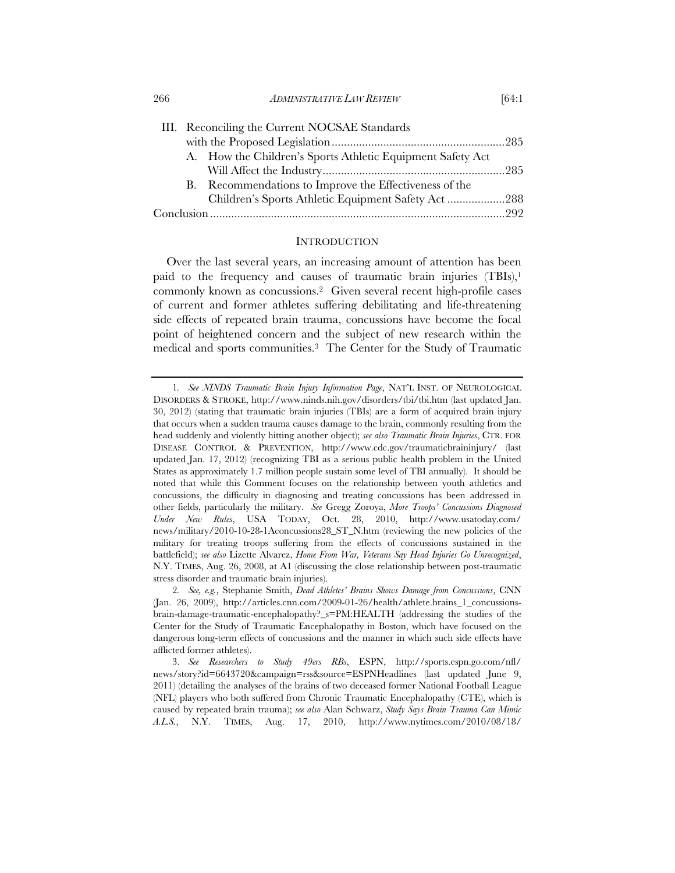266 *ADMINISTRATIVE LAW REVIEW* [64:1

| III. Reconciling the Current NOCSAE Standards              |  |
|------------------------------------------------------------|--|
|                                                            |  |
| A. How the Children's Sports Athletic Equipment Safety Act |  |
|                                                            |  |
| B. Recommendations to Improve the Effectiveness of the     |  |
| Children's Sports Athletic Equipment Safety Act288         |  |
|                                                            |  |

#### **INTRODUCTION**

Over the last several years, an increasing amount of attention has been paid to the frequency and causes of traumatic brain injuries  $(TBIs)$ ,<sup>1</sup> commonly known as concussions.2 Given several recent high-profile cases of current and former athletes suffering debilitating and life-threatening side effects of repeated brain trauma, concussions have become the focal point of heightened concern and the subject of new research within the medical and sports communities.3 The Center for the Study of Traumatic

<sup>1</sup>*. See NINDS Traumatic Brain Injury Information Page*, NAT'L INST. OF NEUROLOGICAL DISORDERS & STROKE, http://www.ninds.nih.gov/disorders/tbi/tbi.htm (last updated Jan. 30, 2012) (stating that traumatic brain injuries (TBIs) are a form of acquired brain injury that occurs when a sudden trauma causes damage to the brain, commonly resulting from the head suddenly and violently hitting another object); *see also Traumatic Brain Injuries*, CTR. FOR DISEASE CONTROL & PREVENTION, http://www.cdc.gov/traumaticbraininjury/ (last updated Jan. 17, 2012) (recognizing TBI as a serious public health problem in the United States as approximately 1.7 million people sustain some level of TBI annually). It should be noted that while this Comment focuses on the relationship between youth athletics and concussions, the difficulty in diagnosing and treating concussions has been addressed in other fields, particularly the military. *See* Gregg Zoroya, *More Troops' Concussions Diagnosed Under New Rules*, USA TODAY, Oct. 28, 2010, http://www.usatoday.com/ news/military/2010-10-28-1Aconcussions28\_ST\_N.htm (reviewing the new policies of the military for treating troops suffering from the effects of concussions sustained in the battlefield); *see also* Lizette Alvarez, *Home From War, Veterans Say Head Injuries Go Unrecognized*, N.Y. TIMES, Aug. 26, 2008, at A1 (discussing the close relationship between post-traumatic stress disorder and traumatic brain injuries).

<sup>2</sup>*. See, e.g.*, Stephanie Smith, *Dead Athletes' Brains Shows Damage from Concussions*, CNN (Jan. 26, 2009), http://articles.cnn.com/2009-01-26/health/athlete.brains\_1\_concussionsbrain-damage-traumatic-encephalopathy?\_s=PM:HEALTH (addressing the studies of the Center for the Study of Traumatic Encephalopathy in Boston, which have focused on the dangerous long-term effects of concussions and the manner in which such side effects have afflicted former athletes).

<sup>3.</sup> *See Researchers to Study 49ers RBs*, ESPN, http://sports.espn.go.com/nfl/ news/story?id=6643720&campaign=rss&source=ESPNHeadlines (last updated June 9, 2011) (detailing the analyses of the brains of two deceased former National Football League (NFL) players who both suffered from Chronic Traumatic Encephalopathy (CTE), which is caused by repeated brain trauma); *see also* Alan Schwarz, *Study Says Brain Trauma Can Mimic A.L.S.*, N.Y. TIMES, Aug. 17, 2010, http://www.nytimes.com/2010/08/18/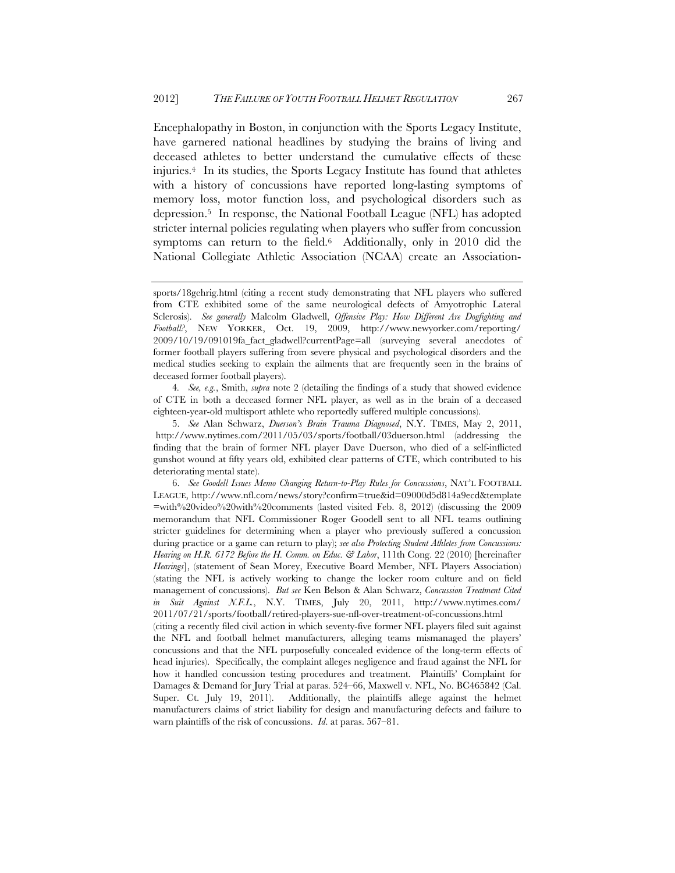Encephalopathy in Boston, in conjunction with the Sports Legacy Institute, have garnered national headlines by studying the brains of living and deceased athletes to better understand the cumulative effects of these injuries.4 In its studies, the Sports Legacy Institute has found that athletes with a history of concussions have reported long-lasting symptoms of memory loss, motor function loss, and psychological disorders such as depression.5 In response, the National Football League (NFL) has adopted stricter internal policies regulating when players who suffer from concussion symptoms can return to the field.<sup>6</sup> Additionally, only in 2010 did the National Collegiate Athletic Association (NCAA) create an Association-

6. *See Goodell Issues Memo Changing Return-to-Play Rules for Concussions*, NAT'L FOOTBALL LEAGUE, http://www.nfl.com/news/story?confirm=true&id=09000d5d814a9ecd&template =with%20video%20with%20comments (lasted visited Feb. 8, 2012) (discussing the 2009 memorandum that NFL Commissioner Roger Goodell sent to all NFL teams outlining stricter guidelines for determining when a player who previously suffered a concussion during practice or a game can return to play); *see also Protecting Student Athletes from Concussions: Hearing on H.R. 6172 Before the H. Comm. on Educ. & Labor*, 111th Cong. 22 (2010) [hereinafter *Hearings*], (statement of Sean Morey, Executive Board Member, NFL Players Association) (stating the NFL is actively working to change the locker room culture and on field management of concussions). *But see* Ken Belson & Alan Schwarz, *Concussion Treatment Cited in Suit Against N.F.L.*, N.Y. TIMES, July 20, 2011, http://www.nytimes.com/ 2011/07/21/sports/football/retired-players-sue-nfl-over-treatment-of-concussions.html

(citing a recently filed civil action in which seventy-five former NFL players filed suit against the NFL and football helmet manufacturers, alleging teams mismanaged the players' concussions and that the NFL purposefully concealed evidence of the long-term effects of head injuries). Specifically, the complaint alleges negligence and fraud against the NFL for how it handled concussion testing procedures and treatment. Plaintiffs' Complaint for Damages & Demand for Jury Trial at paras. 524–66, Maxwell v. NFL, No. BC465842 (Cal. Super. Ct. July 19, 2011). Additionally, the plaintiffs allege against the helmet manufacturers claims of strict liability for design and manufacturing defects and failure to warn plaintiffs of the risk of concussions. *Id*. at paras. 567–81.

sports/18gehrig.html (citing a recent study demonstrating that NFL players who suffered from CTE exhibited some of the same neurological defects of Amyotrophic Lateral Sclerosis). *See generally* Malcolm Gladwell, *Offensive Play: How Different Are Dogfighting and Football?*, NEW YORKER, Oct. 19, 2009, http://www.newyorker.com/reporting/ 2009/10/19/091019fa\_fact\_gladwell?currentPage=all (surveying several anecdotes of former football players suffering from severe physical and psychological disorders and the medical studies seeking to explain the ailments that are frequently seen in the brains of deceased former football players).

<sup>4</sup>*. See, e.g.*, Smith, *supra* note 2 (detailing the findings of a study that showed evidence of CTE in both a deceased former NFL player, as well as in the brain of a deceased eighteen-year-old multisport athlete who reportedly suffered multiple concussions).

<sup>5.</sup> *See* Alan Schwarz, *Duerson's Brain Trauma Diagnosed*, N.Y. TIMES, May 2, 2011, http://www.nytimes.com/2011/05/03/sports/football/03duerson.html (addressing the finding that the brain of former NFL player Dave Duerson, who died of a self-inflicted gunshot wound at fifty years old, exhibited clear patterns of CTE, which contributed to his deteriorating mental state).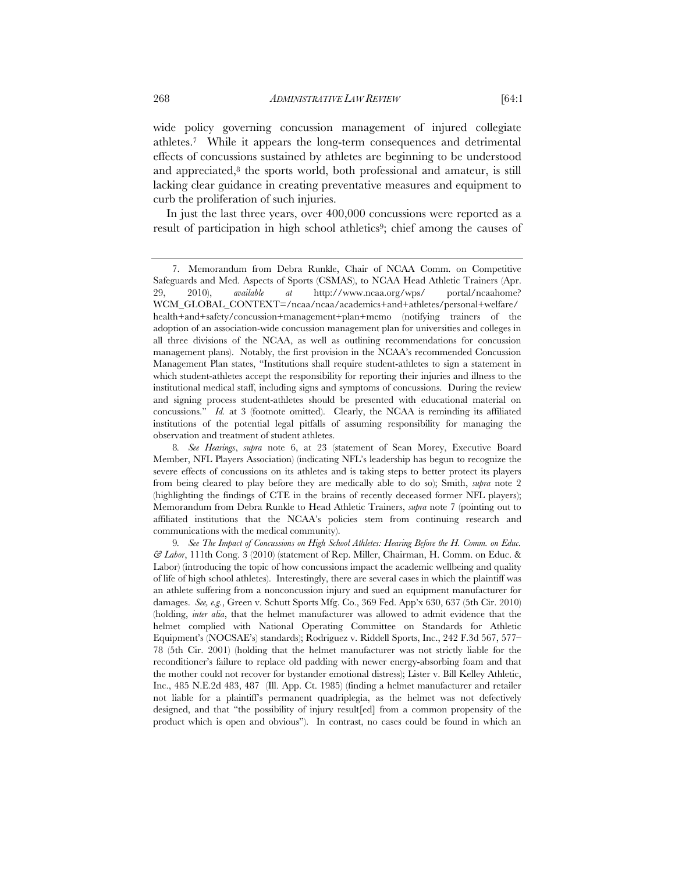wide policy governing concussion management of injured collegiate athletes.7 While it appears the long-term consequences and detrimental effects of concussions sustained by athletes are beginning to be understood and appreciated, $8$  the sports world, both professional and amateur, is still lacking clear guidance in creating preventative measures and equipment to curb the proliferation of such injuries.

In just the last three years, over 400,000 concussions were reported as a result of participation in high school athletics<sup>9</sup>; chief among the causes of

<sup>7.</sup> Memorandum from Debra Runkle, Chair of NCAA Comm. on Competitive Safeguards and Med. Aspects of Sports (CSMAS), to NCAA Head Athletic Trainers (Apr. 29, 2010), *available at* http://www.ncaa.org/wps/ portal/ncaahome? WCM\_GLOBAL\_CONTEXT=/ncaa/ncaa/academics+and+athletes/personal+welfare/ health+and+safety/concussion+management+plan+memo (notifying trainers of the adoption of an association-wide concussion management plan for universities and colleges in all three divisions of the NCAA, as well as outlining recommendations for concussion management plans). Notably, the first provision in the NCAA's recommended Concussion Management Plan states, "Institutions shall require student-athletes to sign a statement in which student-athletes accept the responsibility for reporting their injuries and illness to the institutional medical staff, including signs and symptoms of concussions. During the review and signing process student-athletes should be presented with educational material on concussions." *Id.* at 3 (footnote omitted). Clearly, the NCAA is reminding its affiliated institutions of the potential legal pitfalls of assuming responsibility for managing the observation and treatment of student athletes.

<sup>8</sup>*. See Hearings*, *supra* note 6, at 23 (statement of Sean Morey, Executive Board Member, NFL Players Association) (indicating NFL's leadership has begun to recognize the severe effects of concussions on its athletes and is taking steps to better protect its players from being cleared to play before they are medically able to do so); Smith, *supra* note 2 (highlighting the findings of CTE in the brains of recently deceased former NFL players); Memorandum from Debra Runkle to Head Athletic Trainers, *supra* note 7 (pointing out to affiliated institutions that the NCAA's policies stem from continuing research and communications with the medical community).

<sup>9</sup>*. See The Impact of Concussions on High School Athletes: Hearing Before the H. Comm. on Educ. & Labor*, 111th Cong. 3 (2010) (statement of Rep. Miller, Chairman, H. Comm. on Educ. & Labor) (introducing the topic of how concussions impact the academic wellbeing and quality of life of high school athletes). Interestingly, there are several cases in which the plaintiff was an athlete suffering from a nonconcussion injury and sued an equipment manufacturer for damages. *See, e.g.*, Green v. Schutt Sports Mfg. Co., 369 Fed. App'x 630, 637 (5th Cir. 2010) (holding, *inter alia*, that the helmet manufacturer was allowed to admit evidence that the helmet complied with National Operating Committee on Standards for Athletic Equipment's (NOCSAE's) standards); Rodriguez v. Riddell Sports, Inc., 242 F.3d 567, 577– 78 (5th Cir. 2001) (holding that the helmet manufacturer was not strictly liable for the reconditioner's failure to replace old padding with newer energy-absorbing foam and that the mother could not recover for bystander emotional distress); Lister v. Bill Kelley Athletic, Inc., 485 N.E.2d 483, 487 (Ill. App. Ct. 1985) (finding a helmet manufacturer and retailer not liable for a plaintiff's permanent quadriplegia, as the helmet was not defectively designed, and that "the possibility of injury result[ed] from a common propensity of the product which is open and obvious"). In contrast, no cases could be found in which an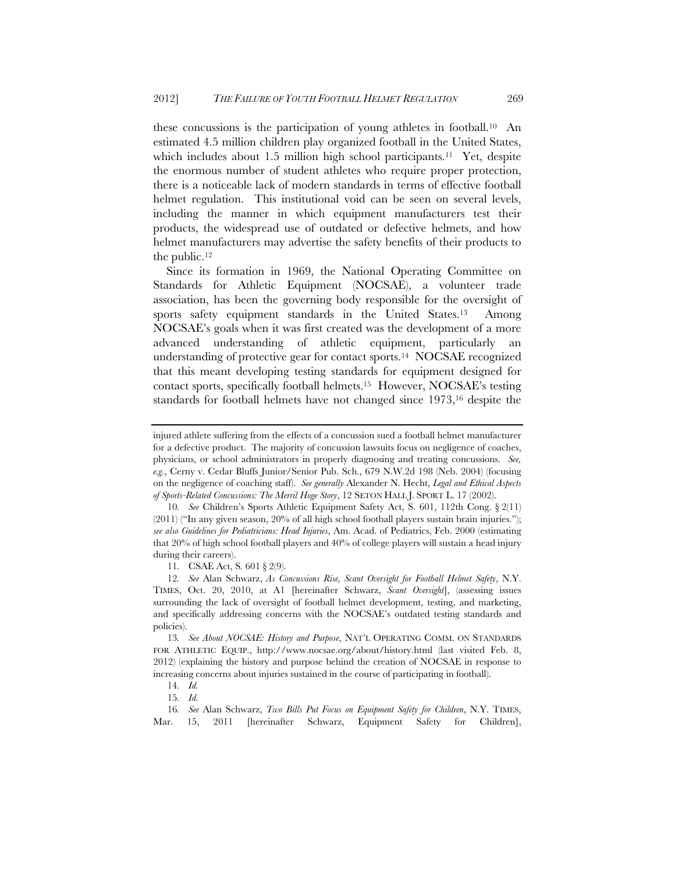these concussions is the participation of young athletes in football.10 An estimated 4.5 million children play organized football in the United States, which includes about 1.5 million high school participants.<sup>11</sup> Yet, despite the enormous number of student athletes who require proper protection, there is a noticeable lack of modern standards in terms of effective football helmet regulation. This institutional void can be seen on several levels, including the manner in which equipment manufacturers test their products, the widespread use of outdated or defective helmets, and how helmet manufacturers may advertise the safety benefits of their products to the public.12

Since its formation in 1969, the National Operating Committee on Standards for Athletic Equipment (NOCSAE), a volunteer trade association, has been the governing body responsible for the oversight of sports safety equipment standards in the United States.<sup>13</sup> Among NOCSAE's goals when it was first created was the development of a more advanced understanding of athletic equipment, particularly an understanding of protective gear for contact sports.14 NOCSAE recognized that this meant developing testing standards for equipment designed for contact sports, specifically football helmets.15 However, NOCSAE's testing standards for football helmets have not changed since 1973,16 despite the

11*.* CSAE Act, S*.* 601 § 2(9).

injured athlete suffering from the effects of a concussion sued a football helmet manufacturer for a defective product. The majority of concussion lawsuits focus on negligence of coaches, physicians, or school administrators in properly diagnosing and treating concussions. *See, e.g.*, Cerny v. Cedar Bluffs Junior/Senior Pub. Sch., 679 N.W.2d 198 (Neb. 2004) (focusing on the negligence of coaching staff). *See generally* Alexander N. Hecht, *Legal and Ethical Aspects of Sports-Related Concussions: The Merril Hoge Story*, 12 SETON HALL J. SPORT L. 17 (2002).

<sup>10</sup>*. See* Children's Sports Athletic Equipment Safety Act, S. 601, 112th Cong. § 2(11) (2011) ("In any given season, 20% of all high school football players sustain brain injuries."); *see also Guidelines for Pediatricians: Head Injuries*, Am. Acad. of Pediatrics, Feb. 2000 (estimating that 20% of high school football players and 40% of college players will sustain a head injury during their careers).

<sup>12</sup>*. See* Alan Schwarz, *As Concussions Rise, Scant Oversight for Football Helmet Safety*, N.Y. TIMES, Oct. 20, 2010, at A1 [hereinafter Schwarz, *Scant Oversight*], (assessing issues surrounding the lack of oversight of football helmet development, testing, and marketing, and specifically addressing concerns with the NOCSAE's outdated testing standards and policies).

<sup>13</sup>*. See About NOCSAE: History and Purpose*, NAT'L OPERATING COMM. ON STANDARDS FOR ATHLETIC EQUIP., http://www.nocsae.org/about/history.html (last visited Feb. 8, 2012) (explaining the history and purpose behind the creation of NOCSAE in response to increasing concerns about injuries sustained in the course of participating in football).

<sup>14</sup>*. Id.*

<sup>15</sup>*. Id.*

<sup>16</sup>*. See* Alan Schwarz, *Two Bills Put Focus on Equipment Safety for Children*, N.Y. TIMES, Mar. 15, 2011 [hereinafter Schwarz, Equipment Safety for Children],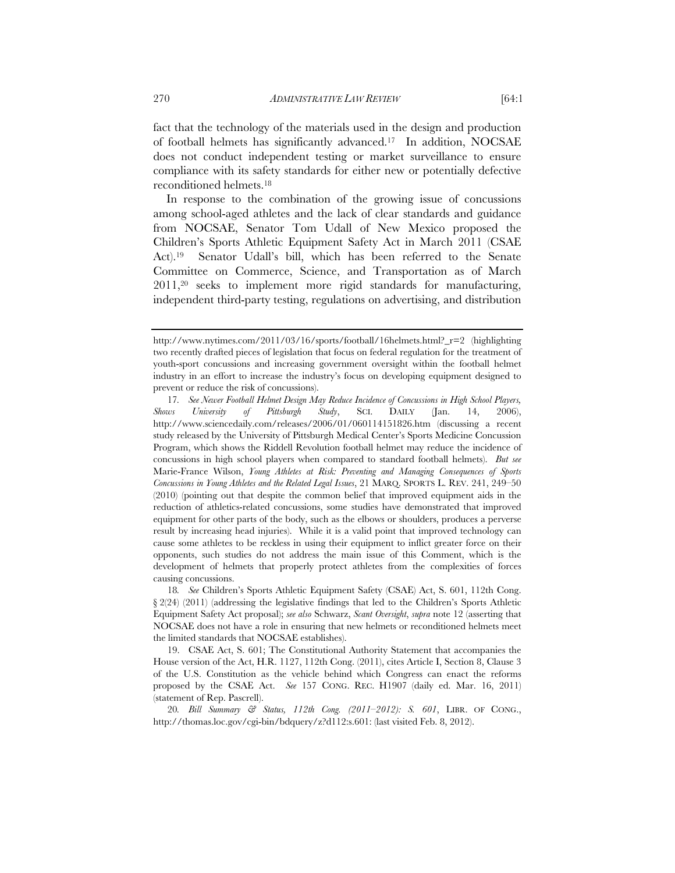fact that the technology of the materials used in the design and production of football helmets has significantly advanced.17 In addition, NOCSAE does not conduct independent testing or market surveillance to ensure compliance with its safety standards for either new or potentially defective reconditioned helmets.18

In response to the combination of the growing issue of concussions among school-aged athletes and the lack of clear standards and guidance from NOCSAE, Senator Tom Udall of New Mexico proposed the Children's Sports Athletic Equipment Safety Act in March 2011 (CSAE Act).19 Senator Udall's bill, which has been referred to the Senate Committee on Commerce, Science, and Transportation as of March 2011,20 seeks to implement more rigid standards for manufacturing, independent third-party testing, regulations on advertising, and distribution

http://www.nytimes.com/2011/03/16/sports/football/16helmets.html?\_r=2 (highlighting two recently drafted pieces of legislation that focus on federal regulation for the treatment of youth-sport concussions and increasing government oversight within the football helmet industry in an effort to increase the industry's focus on developing equipment designed to prevent or reduce the risk of concussions).

<sup>17</sup>*. See Newer Football Helmet Design May Reduce Incidence of Concussions in High School Players, Shows University of Pittsburgh Study*, SCI. DAILY (Jan. 14, 2006), http://www.sciencedaily.com/releases/2006/01/060114151826.htm (discussing a recent study released by the University of Pittsburgh Medical Center's Sports Medicine Concussion Program, which shows the Riddell Revolution football helmet may reduce the incidence of concussions in high school players when compared to standard football helmets). *But see*  Marie-France Wilson, *Young Athletes at Risk: Preventing and Managing Consequences of Sports Concussions in Young Athletes and the Related Legal Issues*, 21 MARQ. SPORTS L. REV. 241, 249–50 (2010) (pointing out that despite the common belief that improved equipment aids in the reduction of athletics-related concussions, some studies have demonstrated that improved equipment for other parts of the body, such as the elbows or shoulders, produces a perverse result by increasing head injuries). While it is a valid point that improved technology can cause some athletes to be reckless in using their equipment to inflict greater force on their opponents, such studies do not address the main issue of this Comment, which is the development of helmets that properly protect athletes from the complexities of forces causing concussions.

<sup>18</sup>*. See* Children's Sports Athletic Equipment Safety (CSAE) Act, S. 601, 112th Cong. § 2(24) (2011) (addressing the legislative findings that led to the Children's Sports Athletic Equipment Safety Act proposal); *see also* Schwarz, *Scant Oversight*, *supra* note 12 (asserting that NOCSAE does not have a role in ensuring that new helmets or reconditioned helmets meet the limited standards that NOCSAE establishes).

<sup>19.</sup> CSAE Act, S. 601; The Constitutional Authority Statement that accompanies the House version of the Act, H.R. 1127, 112th Cong. (2011), cites Article I, Section 8, Clause 3 of the U.S. Constitution as the vehicle behind which Congress can enact the reforms proposed by the CSAE Act. *See* 157 CONG. REC. H1907 (daily ed. Mar. 16, 2011) (statement of Rep. Pascrell).

<sup>20</sup>*. Bill Summary & Status, 112th Cong. (2011–2012): S. 601*, LIBR. OF CONG., http://thomas.loc.gov/cgi-bin/bdquery/z?d112:s.601: (last visited Feb. 8, 2012).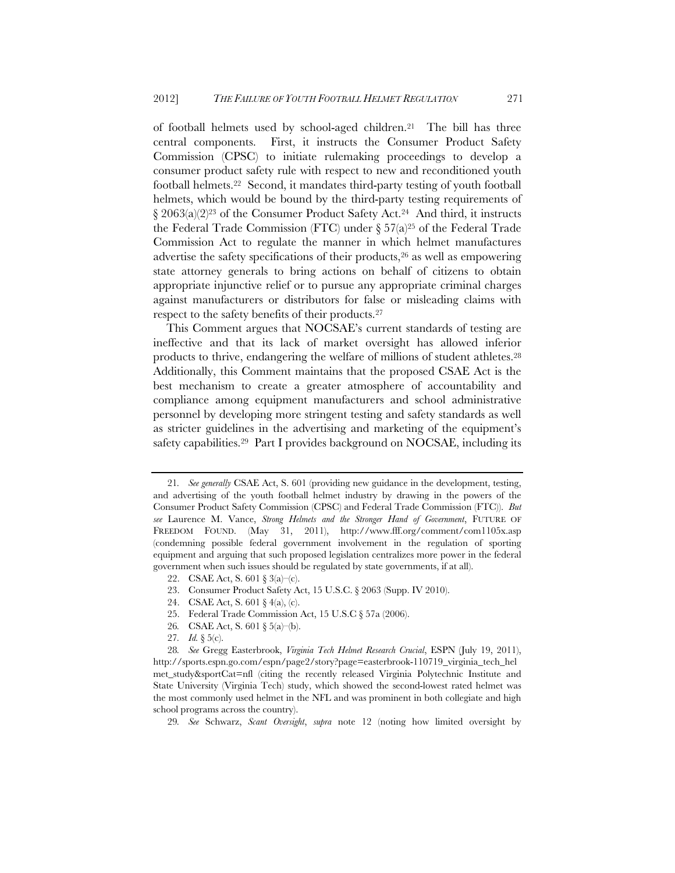of football helmets used by school-aged children.21 The bill has three central components. First, it instructs the Consumer Product Safety Commission (CPSC) to initiate rulemaking proceedings to develop a consumer product safety rule with respect to new and reconditioned youth football helmets.22 Second, it mandates third-party testing of youth football helmets, which would be bound by the third-party testing requirements of § 2063(a)(2)23 of the Consumer Product Safety Act.24 And third, it instructs the Federal Trade Commission (FTC) under  $\S 57(a)^{25}$  of the Federal Trade Commission Act to regulate the manner in which helmet manufactures advertise the safety specifications of their products, $26$  as well as empowering state attorney generals to bring actions on behalf of citizens to obtain appropriate injunctive relief or to pursue any appropriate criminal charges against manufacturers or distributors for false or misleading claims with respect to the safety benefits of their products.27

This Comment argues that NOCSAE's current standards of testing are ineffective and that its lack of market oversight has allowed inferior products to thrive, endangering the welfare of millions of student athletes.28 Additionally, this Comment maintains that the proposed CSAE Act is the best mechanism to create a greater atmosphere of accountability and compliance among equipment manufacturers and school administrative personnel by developing more stringent testing and safety standards as well as stricter guidelines in the advertising and marketing of the equipment's safety capabilities.<sup>29</sup> Part I provides background on NOCSAE, including its

- 25. Federal Trade Commission Act, 15 U.S.C § 57a (2006).
- 26*.* CSAE Act, S. 601 § 5(a)–(b).

28*. See* Gregg Easterbrook, *Virginia Tech Helmet Research Crucial*, ESPN (July 19, 2011), http://sports.espn.go.com/espn/page2/story?page=easterbrook-110719\_virginia\_tech\_hel met\_study&sportCat=nfl (citing the recently released Virginia Polytechnic Institute and State University (Virginia Tech) study, which showed the second-lowest rated helmet was the most commonly used helmet in the NFL and was prominent in both collegiate and high school programs across the country).

29*. See* Schwarz, *Scant Oversight*, *supra* note 12 (noting how limited oversight by

<sup>21</sup>*. See generally* CSAE Act, S. 601 (providing new guidance in the development, testing, and advertising of the youth football helmet industry by drawing in the powers of the Consumer Product Safety Commission (CPSC) and Federal Trade Commission (FTC)). *But see* Laurence M. Vance, *Strong Helmets and the Stronger Hand of Government*, FUTURE OF FREEDOM FOUND. (May 31, 2011), http://www.fff.org/comment/com1105x.asp (condemning possible federal government involvement in the regulation of sporting equipment and arguing that such proposed legislation centralizes more power in the federal government when such issues should be regulated by state governments, if at all).

<sup>22.</sup> CSAE Act, S. 601 § 3(a)–(c).

<sup>23.</sup> Consumer Product Safety Act, 15 U.S.C. § 2063 (Supp. IV 2010).

<sup>24.</sup> CSAE Act, S. 601 § 4(a), (c).

<sup>27</sup>*. Id.* § 5(c).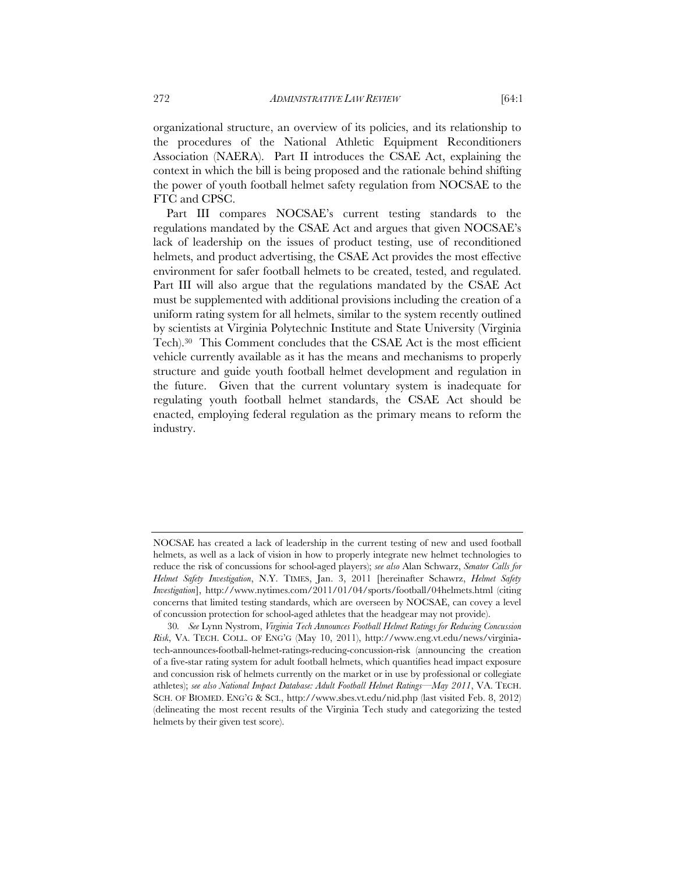organizational structure, an overview of its policies, and its relationship to the procedures of the National Athletic Equipment Reconditioners Association (NAERA). Part II introduces the CSAE Act, explaining the context in which the bill is being proposed and the rationale behind shifting the power of youth football helmet safety regulation from NOCSAE to the FTC and CPSC.

Part III compares NOCSAE's current testing standards to the regulations mandated by the CSAE Act and argues that given NOCSAE's lack of leadership on the issues of product testing, use of reconditioned helmets, and product advertising, the CSAE Act provides the most effective environment for safer football helmets to be created, tested, and regulated. Part III will also argue that the regulations mandated by the CSAE Act must be supplemented with additional provisions including the creation of a uniform rating system for all helmets, similar to the system recently outlined by scientists at Virginia Polytechnic Institute and State University (Virginia Tech).30 This Comment concludes that the CSAE Act is the most efficient vehicle currently available as it has the means and mechanisms to properly structure and guide youth football helmet development and regulation in the future. Given that the current voluntary system is inadequate for regulating youth football helmet standards, the CSAE Act should be enacted, employing federal regulation as the primary means to reform the industry.

NOCSAE has created a lack of leadership in the current testing of new and used football helmets, as well as a lack of vision in how to properly integrate new helmet technologies to reduce the risk of concussions for school-aged players); *see also* Alan Schwarz, *Senator Calls for Helmet Safety Investigation*, N.Y. TIMES, Jan. 3, 2011 [hereinafter Schawrz, *Helmet Safety Investigation*], http://www.nytimes.com/2011/01/04/sports/football/04helmets.html (citing concerns that limited testing standards, which are overseen by NOCSAE, can covey a level of concussion protection for school-aged athletes that the headgear may not provide).

<sup>30</sup>*. See* Lynn Nystrom, *Virginia Tech Announces Football Helmet Ratings for Reducing Concussion Risk*, VA. TECH. COLL. OF ENG'G (May 10, 2011), http://www.eng.vt.edu/news/virginiatech-announces-football-helmet-ratings-reducing-concussion-risk (announcing the creation of a five-star rating system for adult football helmets, which quantifies head impact exposure and concussion risk of helmets currently on the market or in use by professional or collegiate athletes); *see also National Impact Database: Adult Football Helmet Ratings—May 2011*, VA. TECH. SCH. OF BIOMED. ENG'G & SCI., http://www.sbes.vt.edu/nid.php (last visited Feb. 8, 2012) (delineating the most recent results of the Virginia Tech study and categorizing the tested helmets by their given test score).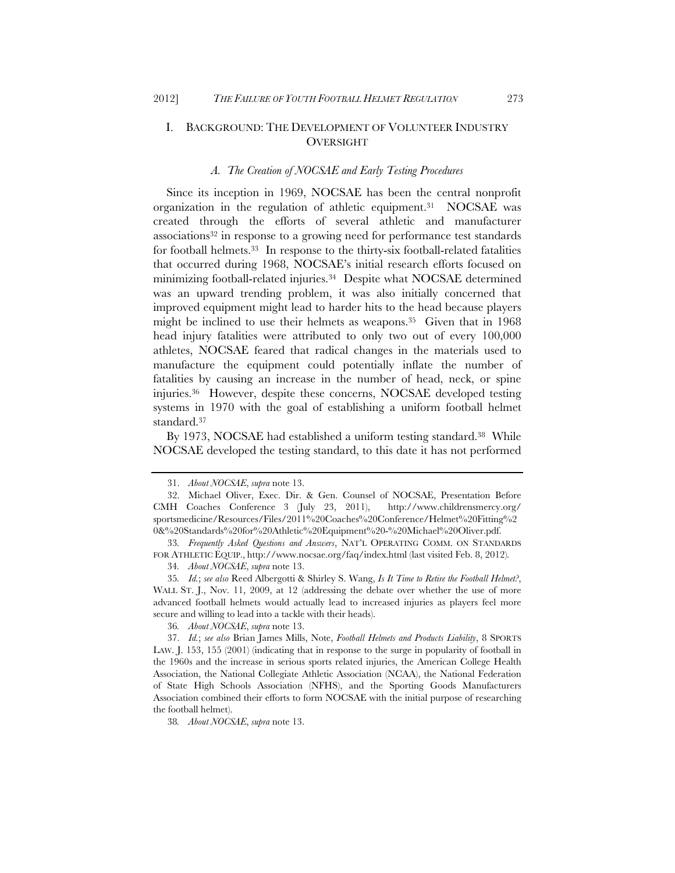### I. BACKGROUND: THE DEVELOPMENT OF VOLUNTEER INDUSTRY OVERSIGHT

#### *A. The Creation of NOCSAE and Early Testing Procedures*

Since its inception in 1969, NOCSAE has been the central nonprofit organization in the regulation of athletic equipment.31 NOCSAE was created through the efforts of several athletic and manufacturer associations32 in response to a growing need for performance test standards for football helmets.33 In response to the thirty-six football-related fatalities that occurred during 1968, NOCSAE's initial research efforts focused on minimizing football-related injuries.34 Despite what NOCSAE determined was an upward trending problem, it was also initially concerned that improved equipment might lead to harder hits to the head because players might be inclined to use their helmets as weapons.35 Given that in 1968 head injury fatalities were attributed to only two out of every 100,000 athletes, NOCSAE feared that radical changes in the materials used to manufacture the equipment could potentially inflate the number of fatalities by causing an increase in the number of head, neck, or spine injuries.36 However, despite these concerns, NOCSAE developed testing systems in 1970 with the goal of establishing a uniform football helmet standard.37

By 1973, NOCSAE had established a uniform testing standard.<sup>38</sup> While NOCSAE developed the testing standard, to this date it has not performed

33*. Frequently Asked Questions and Answers*, NAT'L OPERATING COMM. ON STANDARDS FOR ATHLETIC EQUIP., http://www.nocsae.org/faq/index.html (last visited Feb. 8, 2012)*.*

34*. About NOCSAE*, *supra* note 13.

35*. Id.*; *see also* Reed Albergotti & Shirley S. Wang, *Is It Time to Retire the Football Helmet?*, WALL ST. I., Nov. 11, 2009, at 12 (addressing the debate over whether the use of more advanced football helmets would actually lead to increased injuries as players feel more secure and willing to lead into a tackle with their heads).

36*. About NOCSAE*, *supra* note 13.

37. *Id.*; *see also* Brian James Mills, Note, *Football Helmets and Products Liability*, 8 SPORTS LAW. J. 153, 155 (2001) (indicating that in response to the surge in popularity of football in the 1960s and the increase in serious sports related injuries, the American College Health Association, the National Collegiate Athletic Association (NCAA), the National Federation of State High Schools Association (NFHS), and the Sporting Goods Manufacturers Association combined their efforts to form NOCSAE with the initial purpose of researching the football helmet).

38*. About NOCSAE*, *supra* note 13.

<sup>31.</sup> *About NOCSAE*, *supra* note 13.

<sup>32.</sup> Michael Oliver, Exec. Dir. & Gen. Counsel of NOCSAE, Presentation Before CMH Coaches Conference 3 (July 23, 2011), http://www.childrensmercy.org/ sportsmedicine/Resources/Files/2011%20Coaches%20Conference/Helmet%20Fitting%2 0&%20Standards%20for%20Athletic%20Equipment%20-%20Michael%20Oliver.pdf.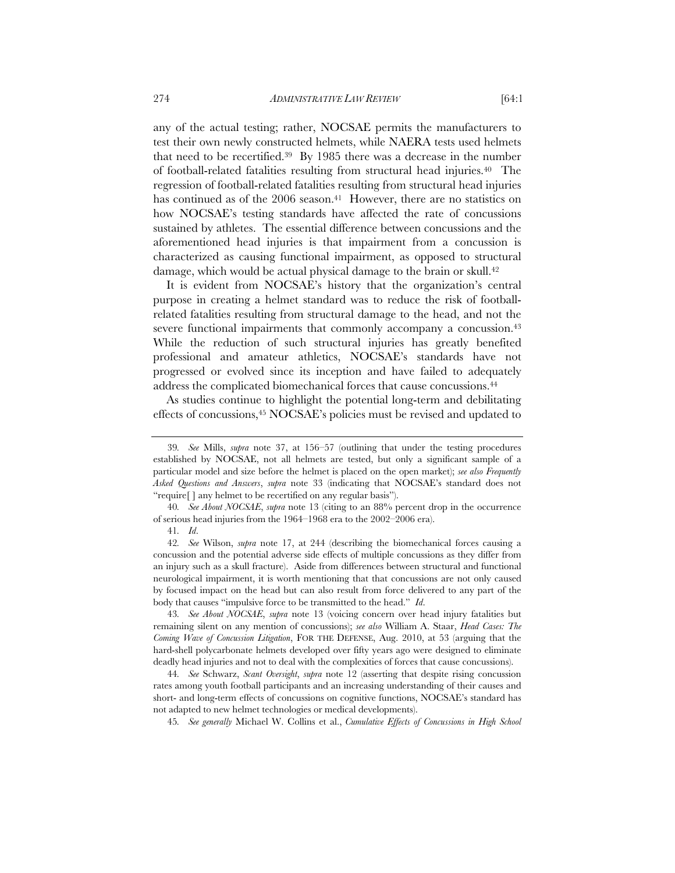any of the actual testing; rather, NOCSAE permits the manufacturers to test their own newly constructed helmets, while NAERA tests used helmets that need to be recertified.39 By 1985 there was a decrease in the number of football-related fatalities resulting from structural head injuries.40 The regression of football-related fatalities resulting from structural head injuries has continued as of the 2006 season.<sup>41</sup> However, there are no statistics on how NOCSAE's testing standards have affected the rate of concussions sustained by athletes. The essential difference between concussions and the aforementioned head injuries is that impairment from a concussion is characterized as causing functional impairment, as opposed to structural damage, which would be actual physical damage to the brain or skull.<sup>42</sup>

It is evident from NOCSAE's history that the organization's central purpose in creating a helmet standard was to reduce the risk of footballrelated fatalities resulting from structural damage to the head, and not the severe functional impairments that commonly accompany a concussion.43 While the reduction of such structural injuries has greatly benefited professional and amateur athletics, NOCSAE's standards have not progressed or evolved since its inception and have failed to adequately address the complicated biomechanical forces that cause concussions.44

As studies continue to highlight the potential long-term and debilitating effects of concussions,45 NOCSAE's policies must be revised and updated to

<sup>39</sup>*. See* Mills, *supra* note 37, at 156–57 (outlining that under the testing procedures established by NOCSAE, not all helmets are tested, but only a significant sample of a particular model and size before the helmet is placed on the open market); *see also Frequently Asked Questions and Answers*, *supra* note 33 (indicating that NOCSAE's standard does not "require[ ] any helmet to be recertified on any regular basis").

<sup>40</sup>*. See About NOCSAE*, *supra* note 13 (citing to an 88% percent drop in the occurrence of serious head injuries from the 1964–1968 era to the 2002–2006 era).

<sup>41</sup>*. Id*.

<sup>42</sup>*. See* Wilson, *supra* note 17, at 244 (describing the biomechanical forces causing a concussion and the potential adverse side effects of multiple concussions as they differ from an injury such as a skull fracture). Aside from differences between structural and functional neurological impairment, it is worth mentioning that that concussions are not only caused by focused impact on the head but can also result from force delivered to any part of the body that causes "impulsive force to be transmitted to the head." *Id*.

<sup>43</sup>*. See About NOCSAE*, *supra* note 13 (voicing concern over head injury fatalities but remaining silent on any mention of concussions); *see also* William A. Staar, *Head Cases: The Coming Wave of Concussion Litigation*, FOR THE DEFENSE, Aug. 2010, at 53 (arguing that the hard-shell polycarbonate helmets developed over fifty years ago were designed to eliminate deadly head injuries and not to deal with the complexities of forces that cause concussions).

<sup>44</sup>*. See* Schwarz, *Scant Oversight*, *supra* note 12 (asserting that despite rising concussion rates among youth football participants and an increasing understanding of their causes and short- and long-term effects of concussions on cognitive functions, NOCSAE's standard has not adapted to new helmet technologies or medical developments).

<sup>45</sup>*. See generally* Michael W. Collins et al., *Cumulative Effects of Concussions in High School*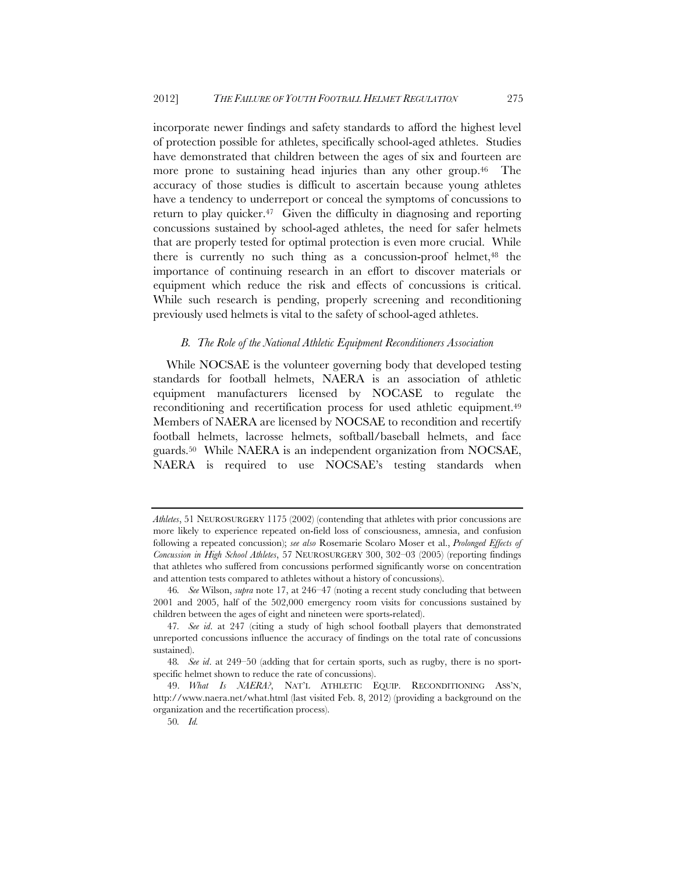incorporate newer findings and safety standards to afford the highest level of protection possible for athletes, specifically school-aged athletes. Studies have demonstrated that children between the ages of six and fourteen are more prone to sustaining head injuries than any other group.<sup>46</sup> The accuracy of those studies is difficult to ascertain because young athletes have a tendency to underreport or conceal the symptoms of concussions to return to play quicker.<sup>47</sup> Given the difficulty in diagnosing and reporting concussions sustained by school-aged athletes, the need for safer helmets that are properly tested for optimal protection is even more crucial. While there is currently no such thing as a concussion-proof helmet, $48$  the importance of continuing research in an effort to discover materials or equipment which reduce the risk and effects of concussions is critical. While such research is pending, properly screening and reconditioning previously used helmets is vital to the safety of school-aged athletes.

#### *B. The Role of the National Athletic Equipment Reconditioners Association*

While NOCSAE is the volunteer governing body that developed testing standards for football helmets, NAERA is an association of athletic equipment manufacturers licensed by NOCASE to regulate the reconditioning and recertification process for used athletic equipment.49 Members of NAERA are licensed by NOCSAE to recondition and recertify football helmets, lacrosse helmets, softball/baseball helmets, and face guards.50 While NAERA is an independent organization from NOCSAE, NAERA is required to use NOCSAE's testing standards when

*Athletes*, 51 NEUROSURGERY 1175 (2002) (contending that athletes with prior concussions are more likely to experience repeated on-field loss of consciousness, amnesia, and confusion following a repeated concussion); *see also* Rosemarie Scolaro Moser et al., *Prolonged Effects of Concussion in High School Athletes*, 57 NEUROSURGERY 300, 302–03 (2005) (reporting findings that athletes who suffered from concussions performed significantly worse on concentration and attention tests compared to athletes without a history of concussions).

<sup>46</sup>*. See* Wilson, *supra* note 17, at 246–47 (noting a recent study concluding that between 2001 and 2005, half of the 502,000 emergency room visits for concussions sustained by children between the ages of eight and nineteen were sports-related).

<sup>47</sup>*. See id*. at 247 (citing a study of high school football players that demonstrated unreported concussions influence the accuracy of findings on the total rate of concussions sustained).

<sup>48</sup>*. See id*. at 249–50 (adding that for certain sports, such as rugby, there is no sportspecific helmet shown to reduce the rate of concussions).

<sup>49.</sup> *What Is NAERA?*, NAT'L ATHLETIC EQUIP. RECONDITIONING ASS'N, http://www.naera.net/what.html (last visited Feb. 8, 2012) (providing a background on the organization and the recertification process).

<sup>50</sup>*. Id.*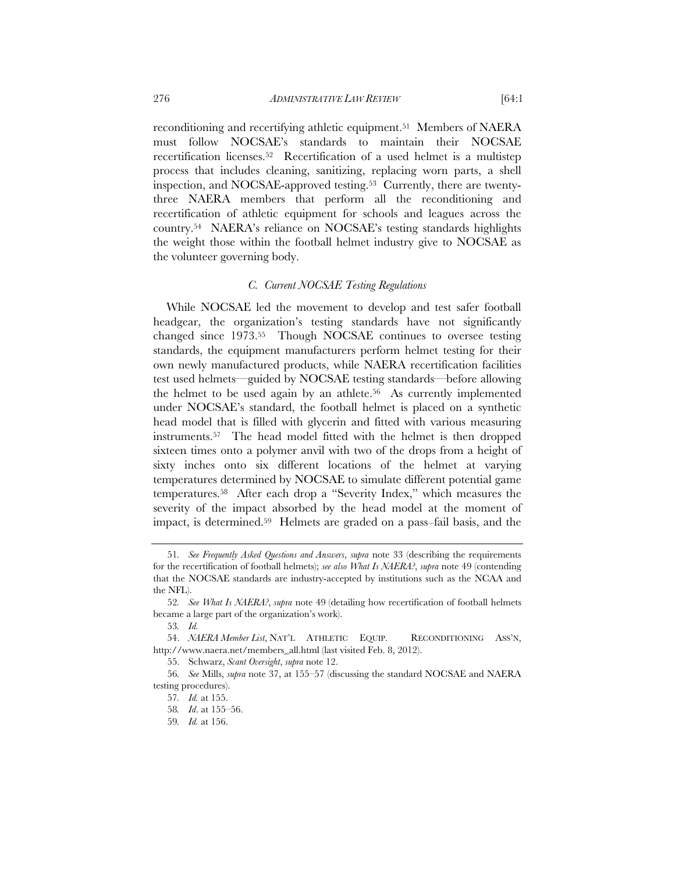reconditioning and recertifying athletic equipment.51 Members of NAERA must follow NOCSAE's standards to maintain their NOCSAE recertification licenses.52 Recertification of a used helmet is a multistep process that includes cleaning, sanitizing, replacing worn parts, a shell inspection, and NOCSAE-approved testing.53 Currently, there are twentythree NAERA members that perform all the reconditioning and recertification of athletic equipment for schools and leagues across the country.54 NAERA's reliance on NOCSAE's testing standards highlights the weight those within the football helmet industry give to NOCSAE as the volunteer governing body.

#### *C. Current NOCSAE Testing Regulations*

While NOCSAE led the movement to develop and test safer football headgear, the organization's testing standards have not significantly changed since 1973.55 Though NOCSAE continues to oversee testing standards, the equipment manufacturers perform helmet testing for their own newly manufactured products, while NAERA recertification facilities test used helmets—guided by NOCSAE testing standards—before allowing the helmet to be used again by an athlete.<sup>56</sup> As currently implemented under NOCSAE's standard, the football helmet is placed on a synthetic head model that is filled with glycerin and fitted with various measuring instruments.57 The head model fitted with the helmet is then dropped sixteen times onto a polymer anvil with two of the drops from a height of sixty inches onto six different locations of the helmet at varying temperatures determined by NOCSAE to simulate different potential game temperatures.58 After each drop a "Severity Index," which measures the severity of the impact absorbed by the head model at the moment of impact, is determined.59 Helmets are graded on a pass–fail basis, and the

55. Schwarz, *Scant Oversight*, *supra* note 12.

<sup>51</sup>*. See Frequently Asked Questions and Answers*, *supra* note 33 (describing the requirements for the recertification of football helmets); *see also What Is NAERA?*, *supra* note 49 (contending that the NOCSAE standards are industry-accepted by institutions such as the NCAA and the NFL).

<sup>52</sup>*. See What Is NAERA?*, *supra* note 49 (detailing how recertification of football helmets became a large part of the organization's work).

<sup>53</sup>*. Id.*

<sup>54.</sup> *NAERA Member List*, NAT'L ATHLETIC EQUIP. RECONDITIONING ASS'N, http://www.naera.net/members\_all.html (last visited Feb. 8, 2012).

<sup>56</sup>*. See* Mills, *supra* note 37, at 155–57 (discussing the standard NOCSAE and NAERA testing procedures).

<sup>57</sup>*. Id.* at 155.

<sup>58</sup>*. Id*. at 155–56.

<sup>59</sup>*. Id.* at 156.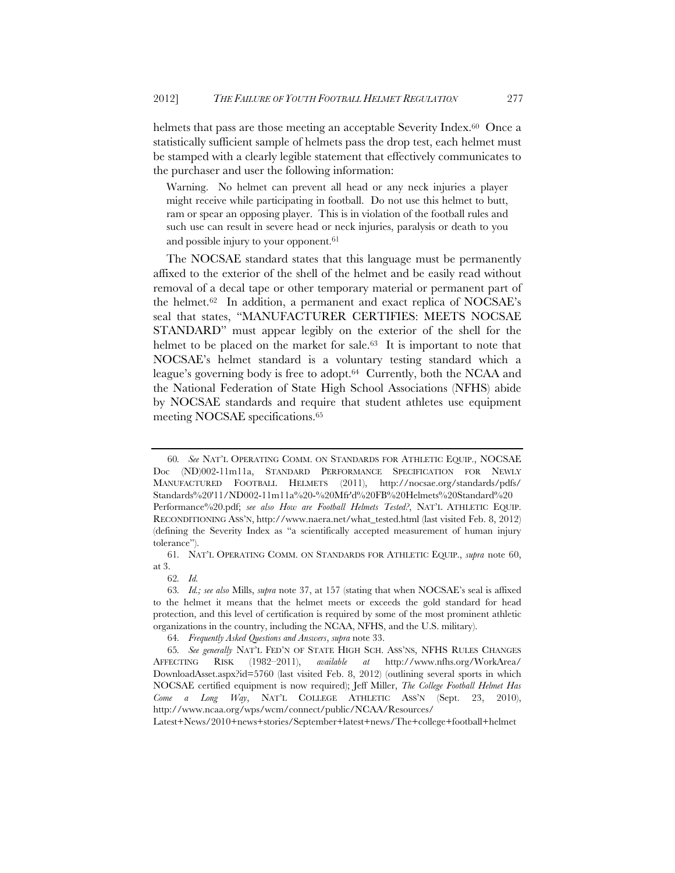helmets that pass are those meeting an acceptable Severity Index.<sup>60</sup> Once a statistically sufficient sample of helmets pass the drop test, each helmet must be stamped with a clearly legible statement that effectively communicates to the purchaser and user the following information:

Warning. No helmet can prevent all head or any neck injuries a player might receive while participating in football. Do not use this helmet to butt, ram or spear an opposing player. This is in violation of the football rules and such use can result in severe head or neck injuries, paralysis or death to you and possible injury to your opponent.<sup>61</sup>

The NOCSAE standard states that this language must be permanently affixed to the exterior of the shell of the helmet and be easily read without removal of a decal tape or other temporary material or permanent part of the helmet.62 In addition, a permanent and exact replica of NOCSAE's seal that states, "MANUFACTURER CERTIFIES: MEETS NOCSAE STANDARD" must appear legibly on the exterior of the shell for the helmet to be placed on the market for sale.<sup>63</sup> It is important to note that NOCSAE's helmet standard is a voluntary testing standard which a league's governing body is free to adopt.64 Currently, both the NCAA and the National Federation of State High School Associations (NFHS) abide by NOCSAE standards and require that student athletes use equipment meeting NOCSAE specifications.65

<sup>60</sup>*. See* NAT'L OPERATING COMM. ON STANDARDS FOR ATHLETIC EQUIP., NOCSAE Doc (ND)002-11m11a, STANDARD PERFORMANCE SPECIFICATION FOR NEWLY MANUFACTURED FOOTBALL HELMETS (2011), http://nocsae.org/standards/pdfs/ Standards%20'11/ND002-11m11a%20-%20Mfr'd%20FB%20Helmets%20Standard%20 Performance%20.pdf; *see also How are Football Helmets Tested?*, NAT'L ATHLETIC EQUIP. RECONDITIONING ASS'N, http://www.naera.net/what\_tested.html (last visited Feb. 8, 2012) (defining the Severity Index as "a scientifically accepted measurement of human injury tolerance").

<sup>61</sup>*.* NAT'L OPERATING COMM. ON STANDARDS FOR ATHLETIC EQUIP., *supra* note 60, at 3.

<sup>62</sup>*. Id.*

<sup>63</sup>*. Id.; see also* Mills, *supra* note 37, at 157 (stating that when NOCSAE's seal is affixed to the helmet it means that the helmet meets or exceeds the gold standard for head protection, and this level of certification is required by some of the most prominent athletic organizations in the country, including the NCAA, NFHS, and the U.S. military).

<sup>64</sup>*. Frequently Asked Questions and Answers*, *supra* note 33.

<sup>65</sup>*. See generally* NAT'L FED'N OF STATE HIGH SCH. ASS'NS, NFHS RULES CHANGES AFFECTING RISK (1982–2011), *available at* http://www.nfhs.org/WorkArea/ DownloadAsset.aspx?id=5760 (last visited Feb. 8, 2012) (outlining several sports in which NOCSAE certified equipment is now required); Jeff Miller, *The College Football Helmet Has Come a Long Way*, NAT'L COLLEGE ATHLETIC ASS'N (Sept. 23, 2010), http://www.ncaa.org/wps/wcm/connect/public/NCAA/Resources/

Latest+News/2010+news+stories/September+latest+news/The+college+football+helmet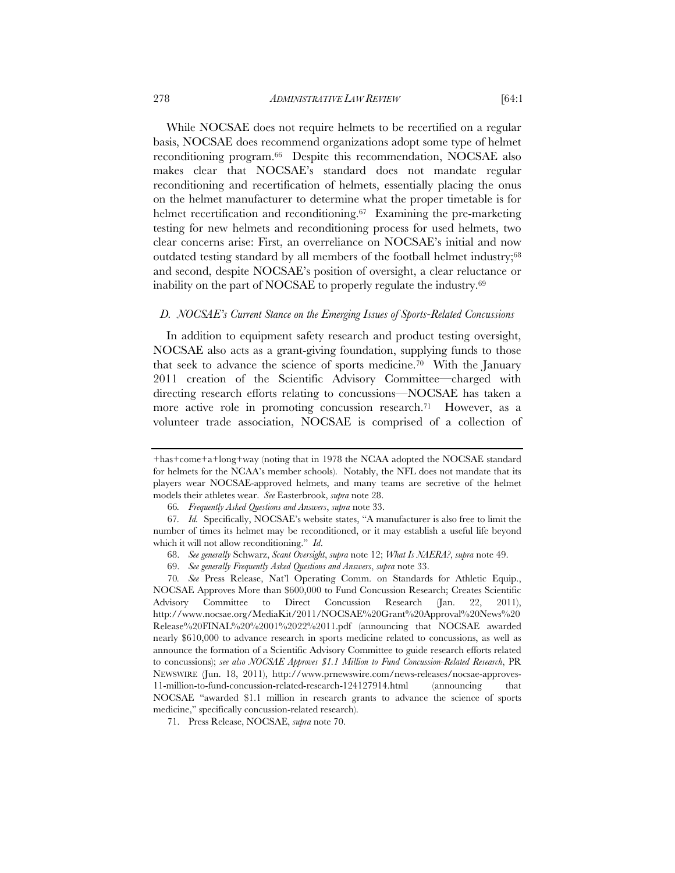While NOCSAE does not require helmets to be recertified on a regular basis, NOCSAE does recommend organizations adopt some type of helmet reconditioning program.66 Despite this recommendation, NOCSAE also makes clear that NOCSAE's standard does not mandate regular reconditioning and recertification of helmets, essentially placing the onus on the helmet manufacturer to determine what the proper timetable is for helmet recertification and reconditioning.<sup>67</sup> Examining the pre-marketing testing for new helmets and reconditioning process for used helmets, two clear concerns arise: First, an overreliance on NOCSAE's initial and now outdated testing standard by all members of the football helmet industry;68 and second, despite NOCSAE's position of oversight, a clear reluctance or inability on the part of NOCSAE to properly regulate the industry.69

#### *D. NOCSAE's Current Stance on the Emerging Issues of Sports-Related Concussions*

In addition to equipment safety research and product testing oversight, NOCSAE also acts as a grant-giving foundation, supplying funds to those that seek to advance the science of sports medicine.70 With the January 2011 creation of the Scientific Advisory Committee—charged with directing research efforts relating to concussions—NOCSAE has taken a more active role in promoting concussion research.<sup>71</sup> However, as a volunteer trade association, NOCSAE is comprised of a collection of

<sup>+</sup>has+come+a+long+way (noting that in 1978 the NCAA adopted the NOCSAE standard for helmets for the NCAA's member schools). Notably, the NFL does not mandate that its players wear NOCSAE-approved helmets, and many teams are secretive of the helmet models their athletes wear. *See* Easterbrook, *supra* note 28.

<sup>66</sup>*. Frequently Asked Questions and Answers*, *supra* note 33.

<sup>67</sup>*. Id.* Specifically, NOCSAE's website states, "A manufacturer is also free to limit the number of times its helmet may be reconditioned, or it may establish a useful life beyond which it will not allow reconditioning." *Id*.

<sup>68.</sup> *See generally* Schwarz, *Scant Oversight*, *supra* note 12; *What Is NAERA?*, *supra* note 49.

<sup>69.</sup> *See generally Frequently Asked Questions and Answers*, *supra* note 33.

<sup>70</sup>*. See* Press Release, Nat'l Operating Comm. on Standards for Athletic Equip., NOCSAE Approves More than \$600,000 to Fund Concussion Research; Creates Scientific Advisory Committee to Direct Concussion Research (Jan. 22, 2011), http://www.nocsae.org/MediaKit/2011/NOCSAE%20Grant%20Approval%20News%20 Release%20FINAL%20%2001%2022%2011.pdf (announcing that NOCSAE awarded nearly \$610,000 to advance research in sports medicine related to concussions, as well as announce the formation of a Scientific Advisory Committee to guide research efforts related to concussions); *see also NOCSAE Approves \$1.1 Million to Fund Concussion-Related Research*, PR NEWSWIRE (Jun. 18, 2011), http://www.prnewswire.com/news-releases/nocsae-approves-11-million-to-fund-concussion-related-research-124127914.html (announcing that NOCSAE "awarded \$1.1 million in research grants to advance the science of sports medicine," specifically concussion-related research).

<sup>71.</sup> Press Release, NOCSAE, *supra* note 70.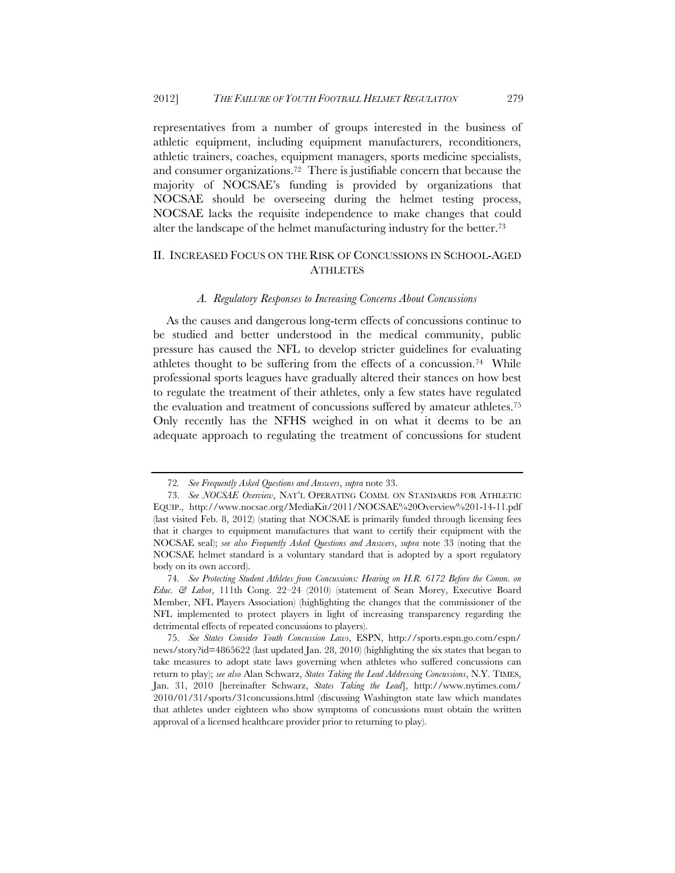representatives from a number of groups interested in the business of athletic equipment, including equipment manufacturers, reconditioners, athletic trainers, coaches, equipment managers, sports medicine specialists, and consumer organizations.72 There is justifiable concern that because the majority of NOCSAE's funding is provided by organizations that NOCSAE should be overseeing during the helmet testing process, NOCSAE lacks the requisite independence to make changes that could alter the landscape of the helmet manufacturing industry for the better.73

## II. INCREASED FOCUS ON THE RISK OF CONCUSSIONS IN SCHOOL-AGED **ATHLETES**

#### *A. Regulatory Responses to Increasing Concerns About Concussions*

As the causes and dangerous long-term effects of concussions continue to be studied and better understood in the medical community, public pressure has caused the NFL to develop stricter guidelines for evaluating athletes thought to be suffering from the effects of a concussion.74 While professional sports leagues have gradually altered their stances on how best to regulate the treatment of their athletes, only a few states have regulated the evaluation and treatment of concussions suffered by amateur athletes.75 Only recently has the NFHS weighed in on what it deems to be an adequate approach to regulating the treatment of concussions for student

<sup>72</sup>*. See Frequently Asked Questions and Answers*, *supra* note 33.

<sup>73.</sup> *See NOCSAE Overview*, NAT'L OPERATING COMM. ON STANDARDS FOR ATHLETIC EQUIP., http://www.nocsae.org/MediaKit/2011/NOCSAE%20Overview%201-14-11.pdf (last visited Feb. 8, 2012) (stating that NOCSAE is primarily funded through licensing fees that it charges to equipment manufactures that want to certify their equipment with the NOCSAE seal); *see also Frequently Asked Questions and Answers*, *supra* note 33 (noting that the NOCSAE helmet standard is a voluntary standard that is adopted by a sport regulatory body on its own accord).

<sup>74</sup>*. See Protecting Student Athletes from Concussions: Hearing on H.R. 6172 Before the Comm. on Educ. & Labor*, 111th Cong. 22–24 (2010) (statement of Sean Morey, Executive Board Member, NFL Players Association) (highlighting the changes that the commissioner of the NFL implemented to protect players in light of increasing transparency regarding the detrimental effects of repeated concussions to players).

<sup>75.</sup> *See States Consider Youth Concussion Laws*, ESPN, http://sports.espn.go.com/espn/ news/story?id=4865622 (last updated Jan. 28, 2010) (highlighting the six states that began to take measures to adopt state laws governing when athletes who suffered concussions can return to play); *see also* Alan Schwarz, *States Taking the Lead Addressing Concussions*, N.Y. TIMES, Jan. 31, 2010 [hereinafter Schwarz, *States Taking the Lead*], http://www.nytimes.com/ 2010/01/31/sports/31concussions.html (discussing Washington state law which mandates that athletes under eighteen who show symptoms of concussions must obtain the written approval of a licensed healthcare provider prior to returning to play).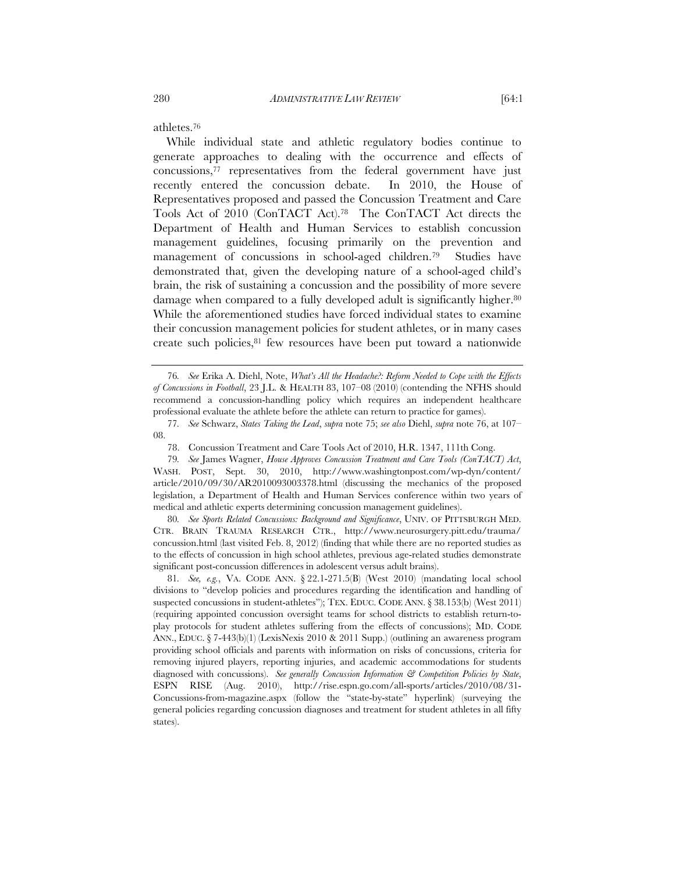athletes.76

While individual state and athletic regulatory bodies continue to generate approaches to dealing with the occurrence and effects of concussions,77 representatives from the federal government have just recently entered the concussion debate. In 2010, the House of Representatives proposed and passed the Concussion Treatment and Care Tools Act of 2010 (ConTACT Act).78 The ConTACT Act directs the Department of Health and Human Services to establish concussion management guidelines, focusing primarily on the prevention and management of concussions in school-aged children.79 Studies have demonstrated that, given the developing nature of a school-aged child's brain, the risk of sustaining a concussion and the possibility of more severe damage when compared to a fully developed adult is significantly higher.<sup>80</sup> While the aforementioned studies have forced individual states to examine their concussion management policies for student athletes, or in many cases create such policies,<sup>81</sup> few resources have been put toward a nationwide

80*. See Sports Related Concussions: Background and Significance*, UNIV. OF PITTSBURGH MED. CTR. BRAIN TRAUMA RESEARCH CTR., http://www.neurosurgery.pitt.edu/trauma/ concussion.html (last visited Feb. 8, 2012) (finding that while there are no reported studies as to the effects of concussion in high school athletes, previous age-related studies demonstrate significant post-concussion differences in adolescent versus adult brains).

81*. See, e.g.*, VA. CODE ANN. § 22.1-271.5(B) (West 2010) (mandating local school divisions to "develop policies and procedures regarding the identification and handling of suspected concussions in student-athletes"); TEX. EDUC. CODE ANN. § 38.153(b) (West 2011) (requiring appointed concussion oversight teams for school districts to establish return-toplay protocols for student athletes suffering from the effects of concussions); MD. CODE ANN., EDUC. § 7-443(b)(1) (LexisNexis 2010 & 2011 Supp.) (outlining an awareness program providing school officials and parents with information on risks of concussions, criteria for removing injured players, reporting injuries, and academic accommodations for students diagnosed with concussions). *See generally Concussion Information & Competition Policies by State*, ESPN RISE (Aug. 2010), http://rise.espn.go.com/all-sports/articles/2010/08/31- Concussions-from-magazine.aspx (follow the "state-by-state" hyperlink) (surveying the general policies regarding concussion diagnoses and treatment for student athletes in all fifty states).

<sup>76</sup>*. See* Erika A. Diehl, Note, *What's All the Headache?: Reform Needed to Cope with the Effects of Concussions in Football*, 23 J.L. & HEALTH 83, 107–08 (2010) (contending the NFHS should recommend a concussion-handling policy which requires an independent healthcare professional evaluate the athlete before the athlete can return to practice for games).

<sup>77</sup>*. See* Schwarz, *States Taking the Lead*, *supra* note 75; *see also* Diehl, *supra* note 76, at 107– 08.

<sup>78.</sup> Concussion Treatment and Care Tools Act of 2010, H.R. 1347, 111th Cong.

<sup>79</sup>*. See* James Wagner, *House Approves Concussion Treatment and Care Tools (ConTACT) Act*, WASH. POST, Sept. 30, 2010, http://www.washingtonpost.com/wp-dyn/content/ article/2010/09/30/AR2010093003378.html (discussing the mechanics of the proposed legislation, a Department of Health and Human Services conference within two years of medical and athletic experts determining concussion management guidelines).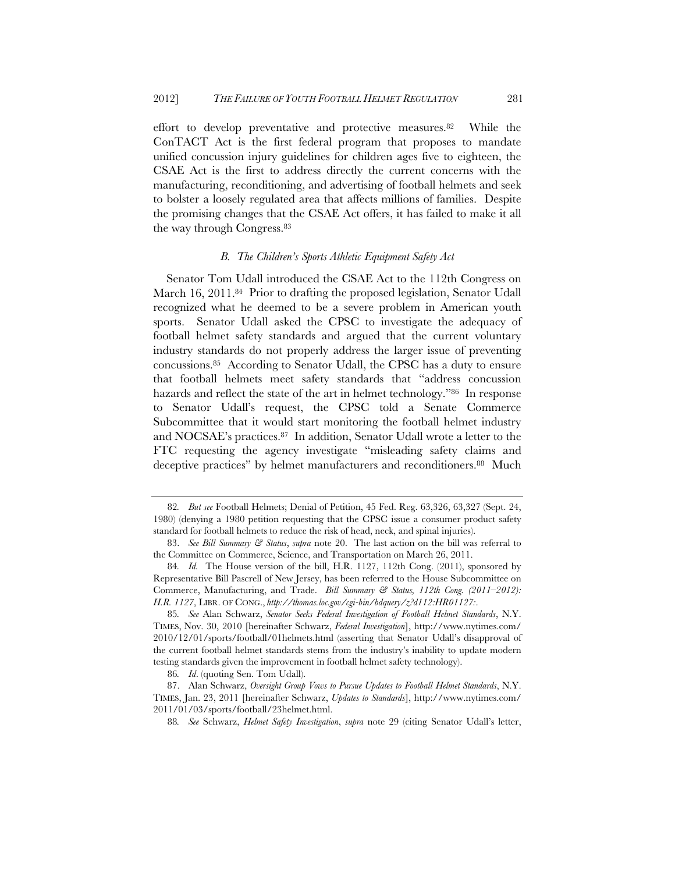effort to develop preventative and protective measures.82 While the ConTACT Act is the first federal program that proposes to mandate unified concussion injury guidelines for children ages five to eighteen, the CSAE Act is the first to address directly the current concerns with the manufacturing, reconditioning, and advertising of football helmets and seek to bolster a loosely regulated area that affects millions of families. Despite the promising changes that the CSAE Act offers, it has failed to make it all the way through Congress.83

#### *B. The Children's Sports Athletic Equipment Safety Act*

Senator Tom Udall introduced the CSAE Act to the 112th Congress on March 16, 2011.<sup>84</sup> Prior to drafting the proposed legislation, Senator Udall recognized what he deemed to be a severe problem in American youth sports. Senator Udall asked the CPSC to investigate the adequacy of football helmet safety standards and argued that the current voluntary industry standards do not properly address the larger issue of preventing concussions.85 According to Senator Udall, the CPSC has a duty to ensure that football helmets meet safety standards that "address concussion hazards and reflect the state of the art in helmet technology."86 In response to Senator Udall's request, the CPSC told a Senate Commerce Subcommittee that it would start monitoring the football helmet industry and NOCSAE's practices.87 In addition, Senator Udall wrote a letter to the FTC requesting the agency investigate "misleading safety claims and deceptive practices" by helmet manufacturers and reconditioners.88 Much

<sup>82</sup>*. But see* Football Helmets; Denial of Petition, 45 Fed. Reg. 63,326, 63,327 (Sept. 24, 1980) (denying a 1980 petition requesting that the CPSC issue a consumer product safety standard for football helmets to reduce the risk of head, neck, and spinal injuries).

<sup>83.</sup> *See Bill Summary & Status*, *supra* note 20. The last action on the bill was referral to the Committee on Commerce, Science, and Transportation on March 26, 2011.

<sup>84</sup>*. Id.* The House version of the bill, H.R. 1127, 112th Cong. (2011), sponsored by Representative Bill Pascrell of New Jersey, has been referred to the House Subcommittee on Commerce, Manufacturing, and Trade. *Bill Summary & Status, 112th Cong. (2011–2012): H.R. 1127*, LIBR. OF CONG., *http://thomas.loc.gov/cgi-bin/bdquery/z?d112:HR01127:*.

<sup>85</sup>*. See* Alan Schwarz, *Senator Seeks Federal Investigation of Football Helmet Standards*, N.Y. TIMES, Nov. 30, 2010 [hereinafter Schwarz, *Federal Investigation*], http://www.nytimes.com/ 2010/12/01/sports/football/01helmets.html (asserting that Senator Udall's disapproval of the current football helmet standards stems from the industry's inability to update modern testing standards given the improvement in football helmet safety technology).

<sup>86</sup>*. Id*. (quoting Sen. Tom Udall).

<sup>87.</sup> Alan Schwarz, *Oversight Group Vows to Pursue Updates to Football Helmet Standards*, N.Y. TIMES, Jan. 23, 2011 [hereinafter Schwarz, *Updates to Standards*], http://www.nytimes.com/ 2011/01/03/sports/football/23helmet.html.

<sup>88</sup>*. See* Schwarz, *Helmet Safety Investigation*, *supra* note 29 (citing Senator Udall's letter,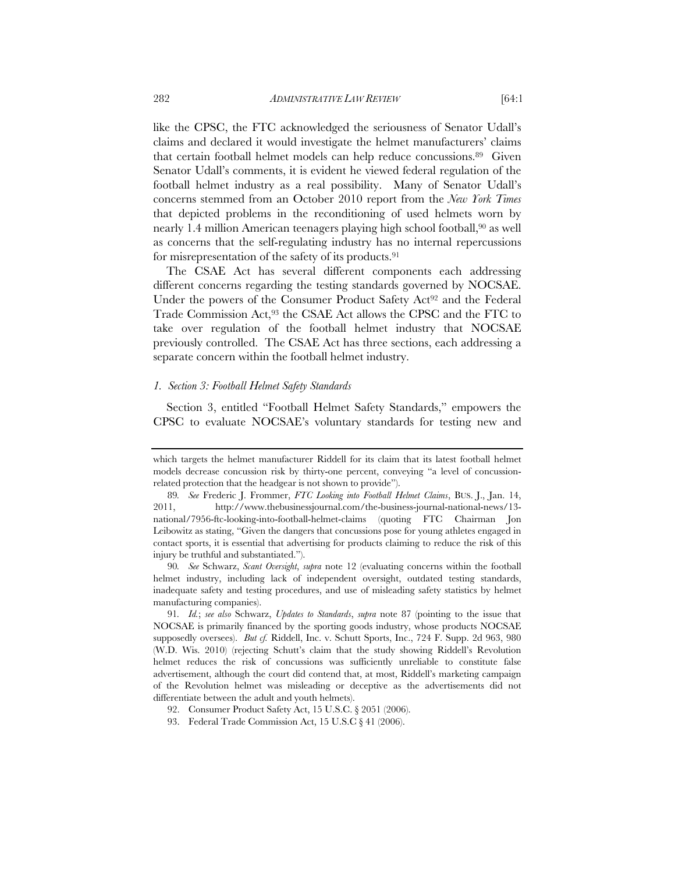like the CPSC, the FTC acknowledged the seriousness of Senator Udall's claims and declared it would investigate the helmet manufacturers' claims that certain football helmet models can help reduce concussions.89 Given Senator Udall's comments, it is evident he viewed federal regulation of the football helmet industry as a real possibility. Many of Senator Udall's concerns stemmed from an October 2010 report from the *New York Times* that depicted problems in the reconditioning of used helmets worn by nearly 1.4 million American teenagers playing high school football,<sup>90</sup> as well as concerns that the self-regulating industry has no internal repercussions for misrepresentation of the safety of its products.91

The CSAE Act has several different components each addressing different concerns regarding the testing standards governed by NOCSAE. Under the powers of the Consumer Product Safety Act<sup>92</sup> and the Federal Trade Commission Act,<sup>93</sup> the CSAE Act allows the CPSC and the FTC to take over regulation of the football helmet industry that NOCSAE previously controlled. The CSAE Act has three sections, each addressing a separate concern within the football helmet industry.

#### *1. Section 3: Football Helmet Safety Standards*

Section 3, entitled "Football Helmet Safety Standards," empowers the CPSC to evaluate NOCSAE's voluntary standards for testing new and

which targets the helmet manufacturer Riddell for its claim that its latest football helmet models decrease concussion risk by thirty-one percent, conveying "a level of concussionrelated protection that the headgear is not shown to provide").

<sup>89</sup>*. See* Frederic J. Frommer, *FTC Looking into Football Helmet Claims*, BUS. J., Jan. 14, 2011, http://www.thebusinessjournal.com/the-business-journal-national-news/13 national/7956-ftc-looking-into-football-helmet-claims (quoting FTC Chairman Jon Leibowitz as stating, "Given the dangers that concussions pose for young athletes engaged in contact sports, it is essential that advertising for products claiming to reduce the risk of this injury be truthful and substantiated.").

<sup>90</sup>*. See* Schwarz, *Scant Oversight*, *supra* note 12 (evaluating concerns within the football helmet industry, including lack of independent oversight, outdated testing standards, inadequate safety and testing procedures, and use of misleading safety statistics by helmet manufacturing companies).

<sup>91</sup>*. Id.*; *see also* Schwarz, *Updates to Standards*, *supra* note 87 (pointing to the issue that NOCSAE is primarily financed by the sporting goods industry, whose products NOCSAE supposedly oversees). *But cf.* Riddell, Inc. v. Schutt Sports, Inc., 724 F. Supp. 2d 963, 980 (W.D. Wis. 2010) (rejecting Schutt's claim that the study showing Riddell's Revolution helmet reduces the risk of concussions was sufficiently unreliable to constitute false advertisement, although the court did contend that, at most, Riddell's marketing campaign of the Revolution helmet was misleading or deceptive as the advertisements did not differentiate between the adult and youth helmets).

<sup>92.</sup> Consumer Product Safety Act, 15 U.S.C. § 2051 (2006).

<sup>93.</sup> Federal Trade Commission Act, 15 U.S.C § 41 (2006).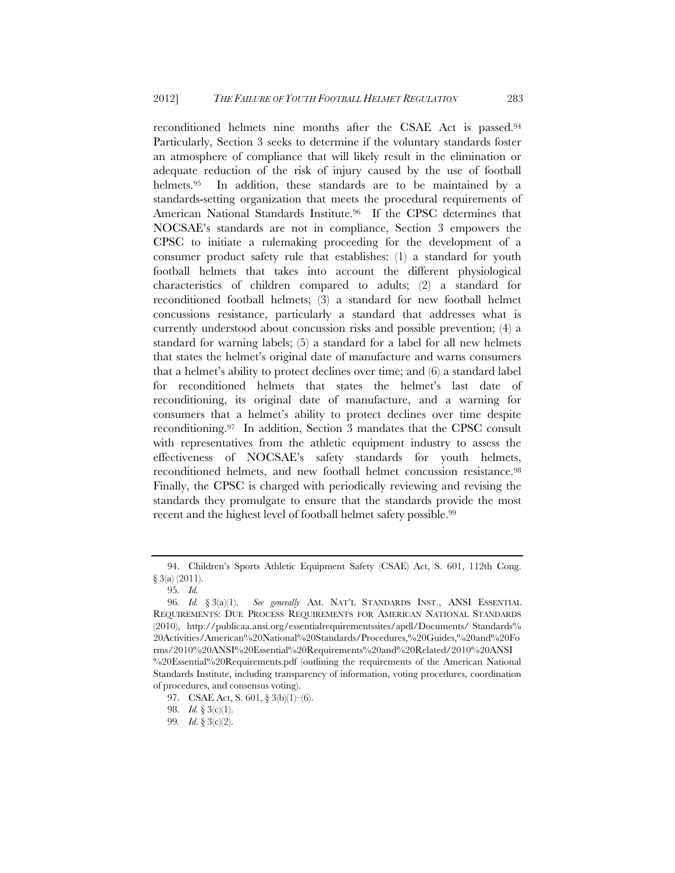reconditioned helmets nine months after the CSAE Act is passed.94 Particularly, Section 3 seeks to determine if the voluntary standards foster an atmosphere of compliance that will likely result in the elimination or adequate reduction of the risk of injury caused by the use of football helmets.<sup>95</sup> In addition, these standards are to be maintained by a standards-setting organization that meets the procedural requirements of American National Standards Institute.<sup>96</sup> If the CPSC determines that NOCSAE's standards are not in compliance, Section 3 empowers the CPSC to initiate a rulemaking proceeding for the development of a consumer product safety rule that establishes: (1) a standard for youth football helmets that takes into account the different physiological characteristics of children compared to adults; (2) a standard for reconditioned football helmets; (3) a standard for new football helmet concussions resistance, particularly a standard that addresses what is currently understood about concussion risks and possible prevention; (4) a standard for warning labels; (5) a standard for a label for all new helmets that states the helmet's original date of manufacture and warns consumers that a helmet's ability to protect declines over time; and (6) a standard label for reconditioned helmets that states the helmet's last date of reconditioning, its original date of manufacture, and a warning for consumers that a helmet's ability to protect declines over time despite reconditioning.97 In addition, Section 3 mandates that the CPSC consult with representatives from the athletic equipment industry to assess the effectiveness of NOCSAE's safety standards for youth helmets, reconditioned helmets, and new football helmet concussion resistance.98 Finally, the CPSC is charged with periodically reviewing and revising the standards they promulgate to ensure that the standards provide the most recent and the highest level of football helmet safety possible.<sup>99</sup>

<sup>94.</sup> Children's Sports Athletic Equipment Safety (CSAE) Act, S. 601, 112th Cong. § 3(a) (2011).

<sup>95</sup>*. Id.*

<sup>96</sup>*. Id.* § 3(a)(1). *See generally* AM. NAT'L STANDARDS INST., ANSI ESSENTIAL REQUIREMENTS: DUE PROCESS REQUIREMENTS FOR AMERICAN NATIONAL STANDARDS (2010), http://publicaa.ansi.org/essentialrequirementssites/apdl/Documents/ Standards% 20Activities/American%20National%20Standards/Procedures,%20Guides,%20and%20Fo rms/2010%20ANSI%20Essential%20Requirements%20and%20Related/2010%20ANSI %20Essential%20Requirements.pdf (outlining the requirements of the American National Standards Institute, including transparency of information, voting procedures, coordination of procedures, and consensus voting).

<sup>97.</sup> CSAE Act, S. 601, § 3(b)(1)–(6).

<sup>98</sup>*. Id.* § 3(c)(1).

<sup>99</sup>*. Id*. § 3(c)(2).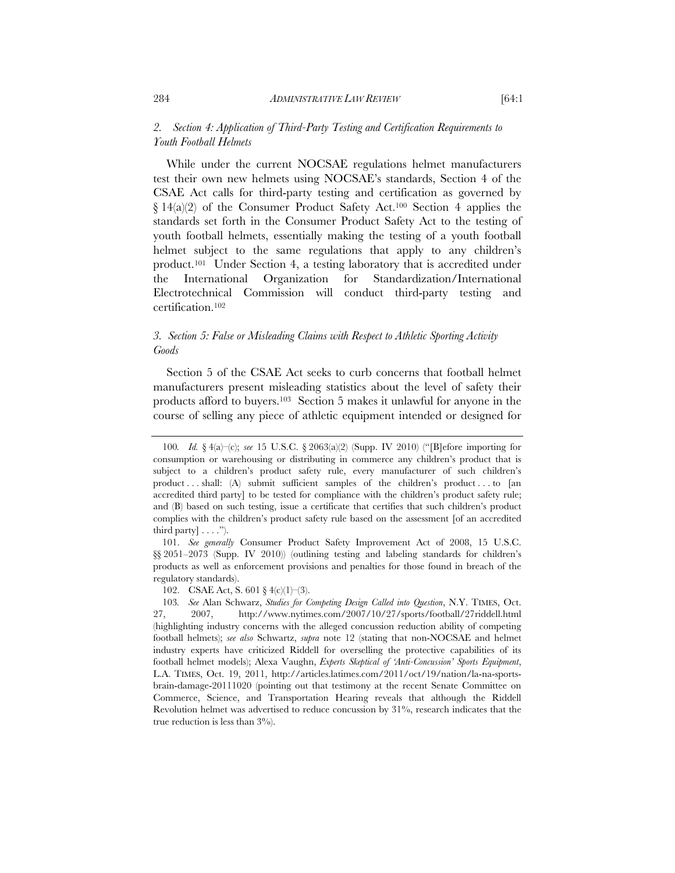## *2. Section 4: Application of Third-Party Testing and Certification Requirements to Youth Football Helmets*

While under the current NOCSAE regulations helmet manufacturers test their own new helmets using NOCSAE's standards, Section 4 of the CSAE Act calls for third-party testing and certification as governed by  $\{14(a)(2)$  of the Consumer Product Safety Act.<sup>100</sup> Section 4 applies the standards set forth in the Consumer Product Safety Act to the testing of youth football helmets, essentially making the testing of a youth football helmet subject to the same regulations that apply to any children's product.101 Under Section 4, a testing laboratory that is accredited under the International Organization for Standardization/International Electrotechnical Commission will conduct third-party testing and certification.102

## *3. Section 5: False or Misleading Claims with Respect to Athletic Sporting Activity Goods*

Section 5 of the CSAE Act seeks to curb concerns that football helmet manufacturers present misleading statistics about the level of safety their products afford to buyers.103 Section 5 makes it unlawful for anyone in the course of selling any piece of athletic equipment intended or designed for

 101. *See generally* Consumer Product Safety Improvement Act of 2008, 15 U.S.C. §§ 2051–2073 (Supp. IV 2010)) (outlining testing and labeling standards for children's products as well as enforcement provisions and penalties for those found in breach of the regulatory standards).

<sup>100</sup>*. Id.* § 4(a)–(c); *see* 15 U.S.C. § 2063(a)(2) (Supp. IV 2010) ("[B]efore importing for consumption or warehousing or distributing in commerce any children's product that is subject to a children's product safety rule, every manufacturer of such children's product . . . shall: (A) submit sufficient samples of the children's product . . . to [an accredited third party] to be tested for compliance with the children's product safety rule; and (B) based on such testing, issue a certificate that certifies that such children's product complies with the children's product safety rule based on the assessment [of an accredited third party  $|\ldots$ .").

<sup>102.</sup> CSAE Act, S. 601 § 4(c)(1)–(3).

<sup>103</sup>*. See* Alan Schwarz, *Studies for Competing Design Called into Question*, N.Y. TIMES, Oct. 27, 2007, http://www.nytimes.com/2007/10/27/sports/football/27riddell.html (highlighting industry concerns with the alleged concussion reduction ability of competing football helmets); *see also* Schwartz, *supra* note 12 (stating that non-NOCSAE and helmet industry experts have criticized Riddell for overselling the protective capabilities of its football helmet models); Alexa Vaughn, *Experts Skeptical of 'Anti-Concussion' Sports Equipment*, L.A. TIMES, Oct. 19, 2011, http://articles.latimes.com/2011/oct/19/nation/la-na-sportsbrain-damage-20111020 (pointing out that testimony at the recent Senate Committee on Commerce, Science, and Transportation Hearing reveals that although the Riddell Revolution helmet was advertised to reduce concussion by 31%, research indicates that the true reduction is less than  $3\%$ .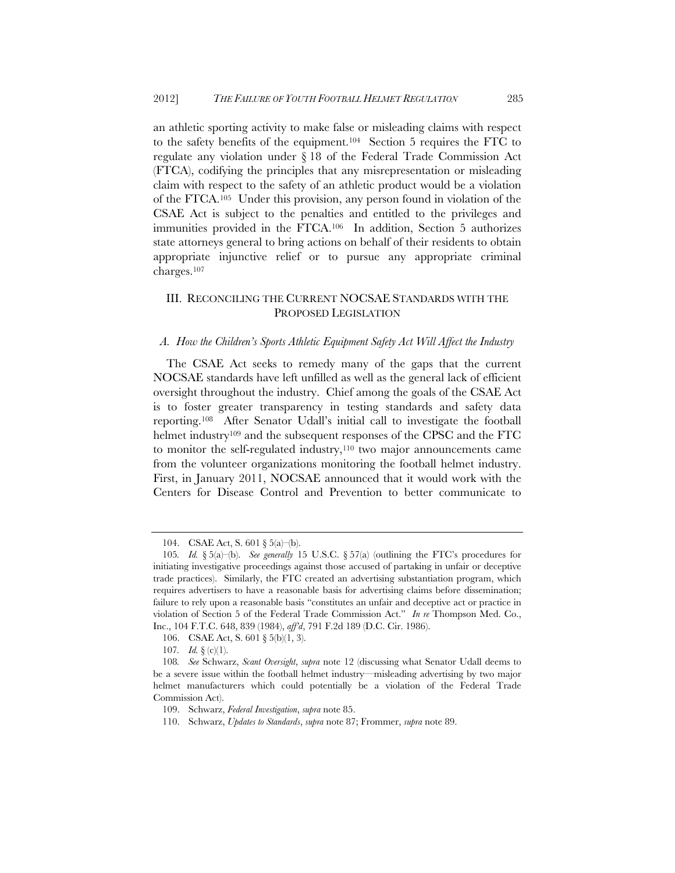an athletic sporting activity to make false or misleading claims with respect to the safety benefits of the equipment.104 Section 5 requires the FTC to regulate any violation under § 18 of the Federal Trade Commission Act (FTCA), codifying the principles that any misrepresentation or misleading claim with respect to the safety of an athletic product would be a violation of the FTCA.105 Under this provision, any person found in violation of the CSAE Act is subject to the penalties and entitled to the privileges and immunities provided in the FTCA.106 In addition, Section 5 authorizes state attorneys general to bring actions on behalf of their residents to obtain appropriate injunctive relief or to pursue any appropriate criminal charges.107

## III. RECONCILING THE CURRENT NOCSAE STANDARDS WITH THE PROPOSED LEGISLATION

#### *A. How the Children's Sports Athletic Equipment Safety Act Will Affect the Industry*

The CSAE Act seeks to remedy many of the gaps that the current NOCSAE standards have left unfilled as well as the general lack of efficient oversight throughout the industry. Chief among the goals of the CSAE Act is to foster greater transparency in testing standards and safety data reporting.108 After Senator Udall's initial call to investigate the football helmet industry<sup>109</sup> and the subsequent responses of the CPSC and the FTC to monitor the self-regulated industry,<sup>110</sup> two major announcements came from the volunteer organizations monitoring the football helmet industry. First, in January 2011, NOCSAE announced that it would work with the Centers for Disease Control and Prevention to better communicate to

<sup>104.</sup> CSAE Act, S. 601 § 5(a)–(b).

<sup>105</sup>*. Id.* § 5(a)–(b). *See generally* 15 U.S.C. § 57(a) (outlining the FTC's procedures for initiating investigative proceedings against those accused of partaking in unfair or deceptive trade practices). Similarly, the FTC created an advertising substantiation program, which requires advertisers to have a reasonable basis for advertising claims before dissemination; failure to rely upon a reasonable basis "constitutes an unfair and deceptive act or practice in violation of Section 5 of the Federal Trade Commission Act." *In re* Thompson Med. Co., Inc., 104 F.T.C. 648, 839 (1984), *aff'd*, 791 F.2d 189 (D.C. Cir. 1986).

<sup>106.</sup> CSAE Act, S. 601 § 5(b)(1, 3).

<sup>107</sup>*. Id.* § (c)(1).

<sup>108</sup>*. See* Schwarz, *Scant Oversight*, *supra* note 12 (discussing what Senator Udall deems to be a severe issue within the football helmet industry—misleading advertising by two major helmet manufacturers which could potentially be a violation of the Federal Trade Commission Act).

 <sup>109.</sup> Schwarz, *Federal Investigation*, *supra* note 85.

 <sup>110.</sup> Schwarz, *Updates to Standards*, *supra* note 87; Frommer, *supra* note 89.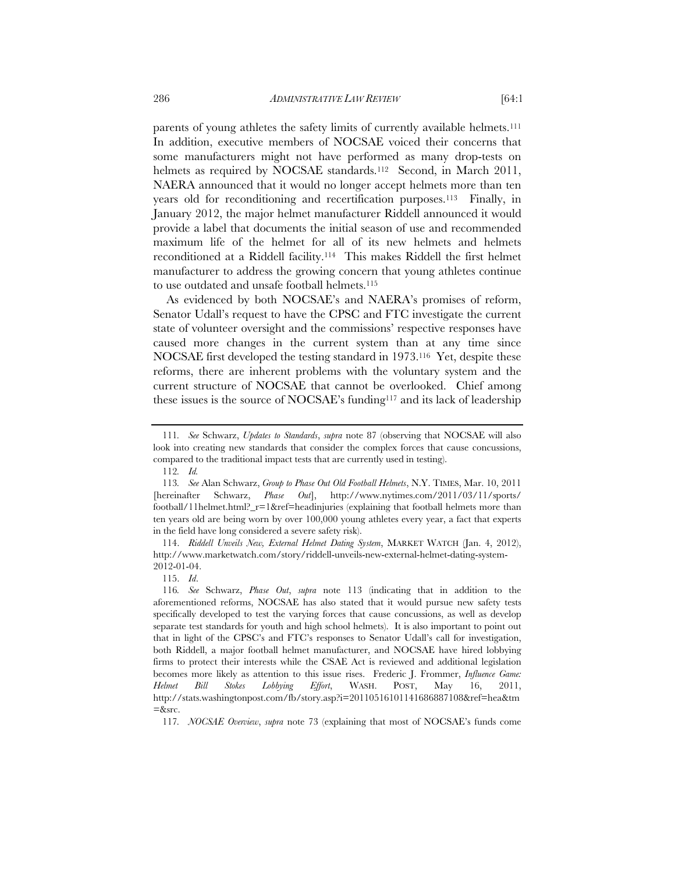parents of young athletes the safety limits of currently available helmets.<sup>111</sup> In addition, executive members of NOCSAE voiced their concerns that some manufacturers might not have performed as many drop-tests on helmets as required by NOCSAE standards.<sup>112</sup> Second, in March 2011, NAERA announced that it would no longer accept helmets more than ten years old for reconditioning and recertification purposes.113 Finally, in January 2012, the major helmet manufacturer Riddell announced it would

provide a label that documents the initial season of use and recommended maximum life of the helmet for all of its new helmets and helmets reconditioned at a Riddell facility.114 This makes Riddell the first helmet manufacturer to address the growing concern that young athletes continue to use outdated and unsafe football helmets.115

As evidenced by both NOCSAE's and NAERA's promises of reform, Senator Udall's request to have the CPSC and FTC investigate the current state of volunteer oversight and the commissions' respective responses have caused more changes in the current system than at any time since NOCSAE first developed the testing standard in 1973.116 Yet, despite these reforms, there are inherent problems with the voluntary system and the current structure of NOCSAE that cannot be overlooked. Chief among these issues is the source of NOCSAE's funding117 and its lack of leadership

<sup>111</sup>*. See* Schwarz, *Updates to Standards*, *supra* note 87 (observing that NOCSAE will also look into creating new standards that consider the complex forces that cause concussions, compared to the traditional impact tests that are currently used in testing).

<sup>112</sup>*. Id.* 

<sup>113</sup>*. See* Alan Schwarz, *Group to Phase Out Old Football Helmets*, N.Y. TIMES, Mar. 10, 2011 [hereinafter Schwarz, *Phase Out*], http://www.nytimes.com/2011/03/11/sports/ football/11helmet.html?\_r=1&ref=headinjuries (explaining that football helmets more than ten years old are being worn by over 100,000 young athletes every year, a fact that experts in the field have long considered a severe safety risk).

 <sup>114.</sup> *Riddell Unveils New, External Helmet Dating System*, MARKET WATCH (Jan. 4, 2012), http://www.marketwatch.com/story/riddell-unveils-new-external-helmet-dating-system-2012-01-04.

 <sup>115.</sup> *Id*.

<sup>116</sup>*. See* Schwarz, *Phase Out*, *supra* note 113 (indicating that in addition to the aforementioned reforms, NOCSAE has also stated that it would pursue new safety tests specifically developed to test the varying forces that cause concussions, as well as develop separate test standards for youth and high school helmets). It is also important to point out that in light of the CPSC's and FTC's responses to Senator Udall's call for investigation, both Riddell, a major football helmet manufacturer, and NOCSAE have hired lobbying firms to protect their interests while the CSAE Act is reviewed and additional legislation becomes more likely as attention to this issue rises. Frederic J. Frommer, *Influence Game: Helmet Bill Stokes Lobbying Effort*, WASH. POST, May 16, 2011, http://stats.washingtonpost.com/fb/story.asp?i=20110516101141686887108&ref=hea&tm  $=\&$  src.

<sup>117</sup>*. NOCSAE Overview*, *supra* note 73 (explaining that most of NOCSAE's funds come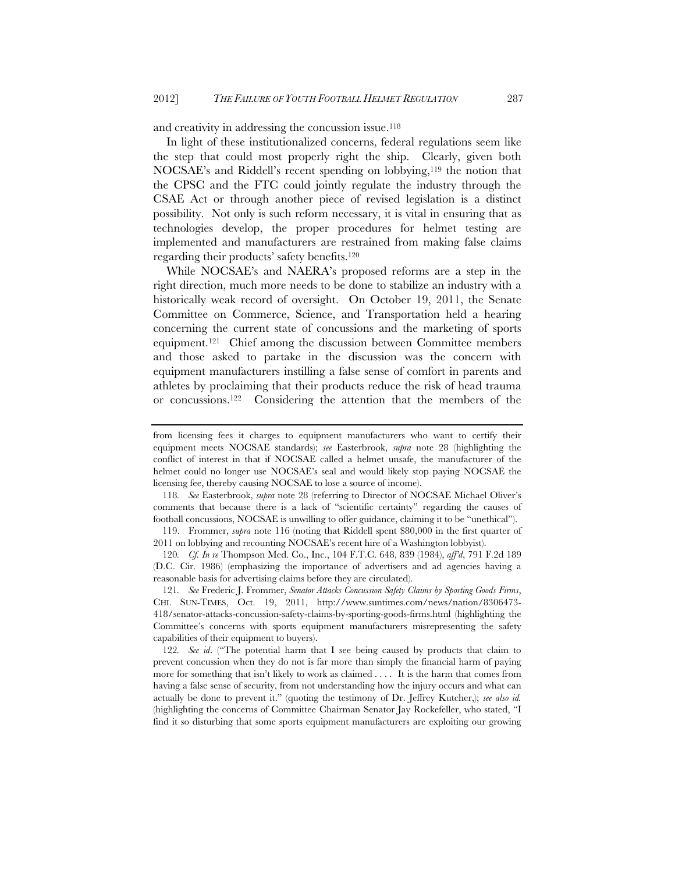and creativity in addressing the concussion issue.<sup>118</sup>

In light of these institutionalized concerns, federal regulations seem like the step that could most properly right the ship. Clearly, given both NOCSAE's and Riddell's recent spending on lobbying,119 the notion that the CPSC and the FTC could jointly regulate the industry through the CSAE Act or through another piece of revised legislation is a distinct possibility. Not only is such reform necessary, it is vital in ensuring that as technologies develop, the proper procedures for helmet testing are implemented and manufacturers are restrained from making false claims regarding their products' safety benefits.120

While NOCSAE's and NAERA's proposed reforms are a step in the right direction, much more needs to be done to stabilize an industry with a historically weak record of oversight. On October 19, 2011, the Senate Committee on Commerce, Science, and Transportation held a hearing concerning the current state of concussions and the marketing of sports equipment.121 Chief among the discussion between Committee members and those asked to partake in the discussion was the concern with equipment manufacturers instilling a false sense of comfort in parents and athletes by proclaiming that their products reduce the risk of head trauma or concussions.122 Considering the attention that the members of the

118*. See* Easterbrook, *supra* note 28 (referring to Director of NOCSAE Michael Oliver's comments that because there is a lack of "scientific certainty" regarding the causes of football concussions, NOCSAE is unwilling to offer guidance, claiming it to be "unethical").

 119. Frommer, *supra* note 116 (noting that Riddell spent \$80,000 in the first quarter of 2011 on lobbying and recounting NOCSAE's recent hire of a Washington lobbyist).

120*. Cf. In re* Thompson Med. Co., Inc., 104 F.T.C. 648, 839 (1984), *aff'd*, 791 F.2d 189 (D.C. Cir. 1986) (emphasizing the importance of advertisers and ad agencies having a reasonable basis for advertising claims before they are circulated).

121*. See* Frederic J. Frommer, *Senator Attacks Concussion Safety Claims by Sporting Goods Firms*, CHI. SUN-TIMES, Oct. 19, 2011, http://www.suntimes.com/news/nation/8306473- 418/senator-attacks-concussion-safety-claims-by-sporting-goods-firms.html (highlighting the Committee's concerns with sports equipment manufacturers misrepresenting the safety capabilities of their equipment to buyers).

122*. See id*. ("The potential harm that I see being caused by products that claim to prevent concussion when they do not is far more than simply the financial harm of paying more for something that isn't likely to work as claimed . . . . It is the harm that comes from having a false sense of security, from not understanding how the injury occurs and what can actually be done to prevent it." (quoting the testimony of Dr. Jeffrey Kutcher,); *see also id.* (highlighting the concerns of Committee Chairman Senator Jay Rockefeller, who stated, "I find it so disturbing that some sports equipment manufacturers are exploiting our growing

from licensing fees it charges to equipment manufacturers who want to certify their equipment meets NOCSAE standards); *see* Easterbrook, *supra* note 28 (highlighting the conflict of interest in that if NOCSAE called a helmet unsafe, the manufacturer of the helmet could no longer use NOCSAE's seal and would likely stop paying NOCSAE the licensing fee, thereby causing NOCSAE to lose a source of income).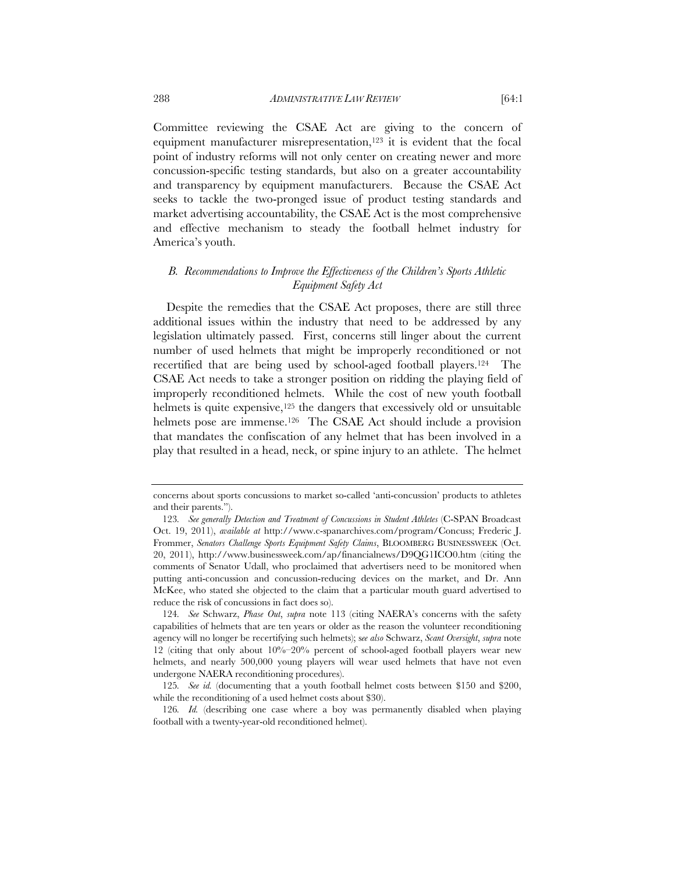Committee reviewing the CSAE Act are giving to the concern of equipment manufacturer misrepresentation,<sup>123</sup> it is evident that the focal point of industry reforms will not only center on creating newer and more concussion-specific testing standards, but also on a greater accountability and transparency by equipment manufacturers. Because the CSAE Act seeks to tackle the two-pronged issue of product testing standards and market advertising accountability, the CSAE Act is the most comprehensive and effective mechanism to steady the football helmet industry for America's youth.

## *B. Recommendations to Improve the Effectiveness of the Children's Sports Athletic Equipment Safety Act*

Despite the remedies that the CSAE Act proposes, there are still three additional issues within the industry that need to be addressed by any legislation ultimately passed. First, concerns still linger about the current number of used helmets that might be improperly reconditioned or not recertified that are being used by school-aged football players.124 The CSAE Act needs to take a stronger position on ridding the playing field of improperly reconditioned helmets. While the cost of new youth football helmets is quite expensive,<sup>125</sup> the dangers that excessively old or unsuitable helmets pose are immense.<sup>126</sup> The CSAE Act should include a provision that mandates the confiscation of any helmet that has been involved in a play that resulted in a head, neck, or spine injury to an athlete. The helmet

concerns about sports concussions to market so-called 'anti-concussion' products to athletes and their parents.").

<sup>123</sup>*. See generally Detection and Treatment of Concussions in Student Athletes* (C-SPAN Broadcast Oct. 19, 2011), *available at* http://www.c-spanarchives.com/program/Concuss; Frederic J. Frommer, *Senators Challenge Sports Equipment Safety Claims*, BLOOMBERG BUSINESSWEEK (Oct. 20, 2011), http://www.businessweek.com/ap/financialnews/D9QG1ICO0.htm (citing the comments of Senator Udall, who proclaimed that advertisers need to be monitored when putting anti-concussion and concussion-reducing devices on the market, and Dr. Ann McKee, who stated she objected to the claim that a particular mouth guard advertised to reduce the risk of concussions in fact does so).

<sup>124</sup>*. See* Schwarz, *Phase Out*, *supra* note 113 (citing NAERA's concerns with the safety capabilities of helmets that are ten years or older as the reason the volunteer reconditioning agency will no longer be recertifying such helmets); s*ee also* Schwarz, *Scant Oversight*, *supra* note 12 (citing that only about 10%–20% percent of school-aged football players wear new helmets, and nearly 500,000 young players will wear used helmets that have not even undergone NAERA reconditioning procedures).

<sup>125</sup>*. See id.* (documenting that a youth football helmet costs between \$150 and \$200, while the reconditioning of a used helmet costs about \$30).

<sup>126</sup>*. Id.* (describing one case where a boy was permanently disabled when playing football with a twenty-year-old reconditioned helmet).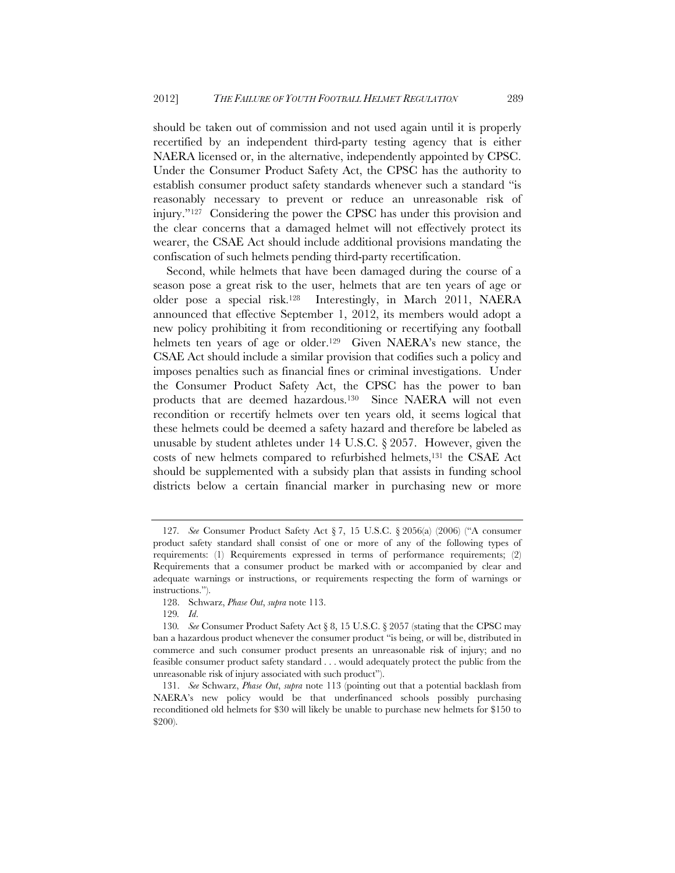should be taken out of commission and not used again until it is properly recertified by an independent third-party testing agency that is either NAERA licensed or, in the alternative, independently appointed by CPSC. Under the Consumer Product Safety Act, the CPSC has the authority to establish consumer product safety standards whenever such a standard "is reasonably necessary to prevent or reduce an unreasonable risk of injury."127 Considering the power the CPSC has under this provision and the clear concerns that a damaged helmet will not effectively protect its wearer, the CSAE Act should include additional provisions mandating the confiscation of such helmets pending third-party recertification.

Second, while helmets that have been damaged during the course of a season pose a great risk to the user, helmets that are ten years of age or older pose a special risk.128 Interestingly, in March 2011, NAERA announced that effective September 1, 2012, its members would adopt a new policy prohibiting it from reconditioning or recertifying any football helmets ten years of age or older.<sup>129</sup> Given NAERA's new stance, the CSAE Act should include a similar provision that codifies such a policy and imposes penalties such as financial fines or criminal investigations. Under the Consumer Product Safety Act, the CPSC has the power to ban products that are deemed hazardous.130 Since NAERA will not even recondition or recertify helmets over ten years old, it seems logical that these helmets could be deemed a safety hazard and therefore be labeled as unusable by student athletes under 14 U.S.C. § 2057. However, given the costs of new helmets compared to refurbished helmets,131 the CSAE Act should be supplemented with a subsidy plan that assists in funding school districts below a certain financial marker in purchasing new or more

<sup>127</sup>*. See* Consumer Product Safety Act § 7, 15 U.S.C. § 2056(a) (2006) ("A consumer product safety standard shall consist of one or more of any of the following types of requirements: (1) Requirements expressed in terms of performance requirements; (2) Requirements that a consumer product be marked with or accompanied by clear and adequate warnings or instructions, or requirements respecting the form of warnings or instructions.").

 <sup>128.</sup> Schwarz, *Phase Out*, *supra* note 113.

<sup>129</sup>*. Id*.

<sup>130</sup>*. See* Consumer Product Safety Act § 8, 15 U.S.C. § 2057 (stating that the CPSC may ban a hazardous product whenever the consumer product "is being, or will be, distributed in commerce and such consumer product presents an unreasonable risk of injury; and no feasible consumer product safety standard . . . would adequately protect the public from the unreasonable risk of injury associated with such product").

<sup>131.</sup> *See* Schwarz, *Phase Out*, *supra* note 113 (pointing out that a potential backlash from NAERA's new policy would be that underfinanced schools possibly purchasing reconditioned old helmets for \$30 will likely be unable to purchase new helmets for \$150 to \$200).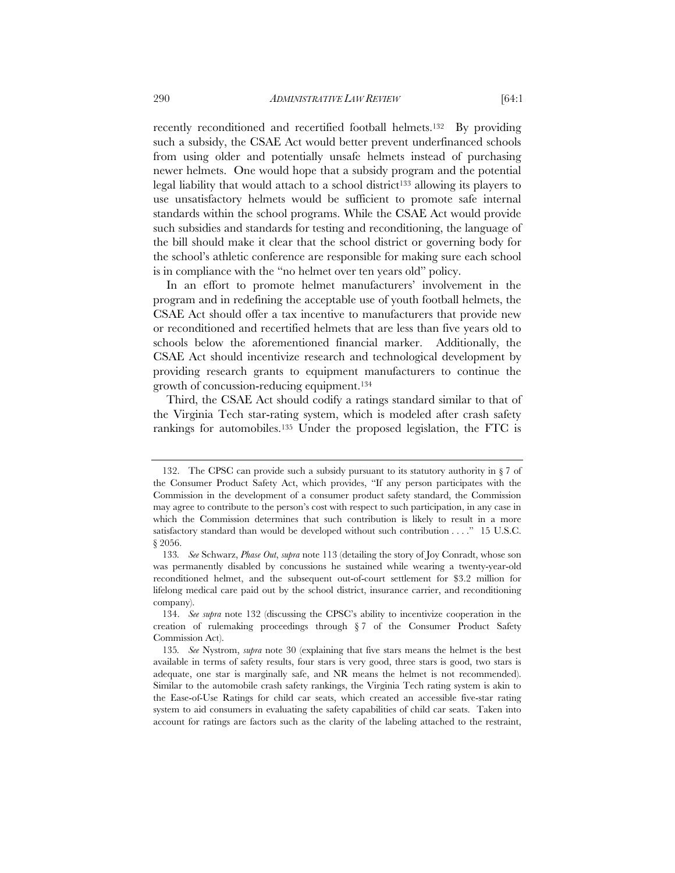recently reconditioned and recertified football helmets.<sup>132</sup> By providing such a subsidy, the CSAE Act would better prevent underfinanced schools from using older and potentially unsafe helmets instead of purchasing newer helmets. One would hope that a subsidy program and the potential legal liability that would attach to a school district<sup>133</sup> allowing its players to use unsatisfactory helmets would be sufficient to promote safe internal standards within the school programs. While the CSAE Act would provide such subsidies and standards for testing and reconditioning, the language of the bill should make it clear that the school district or governing body for the school's athletic conference are responsible for making sure each school is in compliance with the "no helmet over ten years old" policy.

In an effort to promote helmet manufacturers' involvement in the program and in redefining the acceptable use of youth football helmets, the CSAE Act should offer a tax incentive to manufacturers that provide new or reconditioned and recertified helmets that are less than five years old to schools below the aforementioned financial marker. Additionally, the CSAE Act should incentivize research and technological development by providing research grants to equipment manufacturers to continue the growth of concussion-reducing equipment.134

Third, the CSAE Act should codify a ratings standard similar to that of the Virginia Tech star-rating system, which is modeled after crash safety rankings for automobiles.135 Under the proposed legislation, the FTC is

 <sup>132.</sup> The CPSC can provide such a subsidy pursuant to its statutory authority in § 7 of the Consumer Product Safety Act, which provides, "If any person participates with the Commission in the development of a consumer product safety standard, the Commission may agree to contribute to the person's cost with respect to such participation, in any case in which the Commission determines that such contribution is likely to result in a more satisfactory standard than would be developed without such contribution . . . ." 15 U.S.C. § 2056.

<sup>133</sup>*. See* Schwarz, *Phase Out*, *supra* note 113 (detailing the story of Joy Conradt, whose son was permanently disabled by concussions he sustained while wearing a twenty-year-old reconditioned helmet, and the subsequent out-of-court settlement for \$3.2 million for lifelong medical care paid out by the school district, insurance carrier, and reconditioning company).

 <sup>134.</sup> *See supra* note 132 (discussing the CPSC's ability to incentivize cooperation in the creation of rulemaking proceedings through § 7 of the Consumer Product Safety Commission Act).

<sup>135</sup>*. See* Nystrom, *supra* note 30 (explaining that five stars means the helmet is the best available in terms of safety results, four stars is very good, three stars is good, two stars is adequate, one star is marginally safe, and NR means the helmet is not recommended). Similar to the automobile crash safety rankings, the Virginia Tech rating system is akin to the Ease-of-Use Ratings for child car seats, which created an accessible five-star rating system to aid consumers in evaluating the safety capabilities of child car seats. Taken into account for ratings are factors such as the clarity of the labeling attached to the restraint,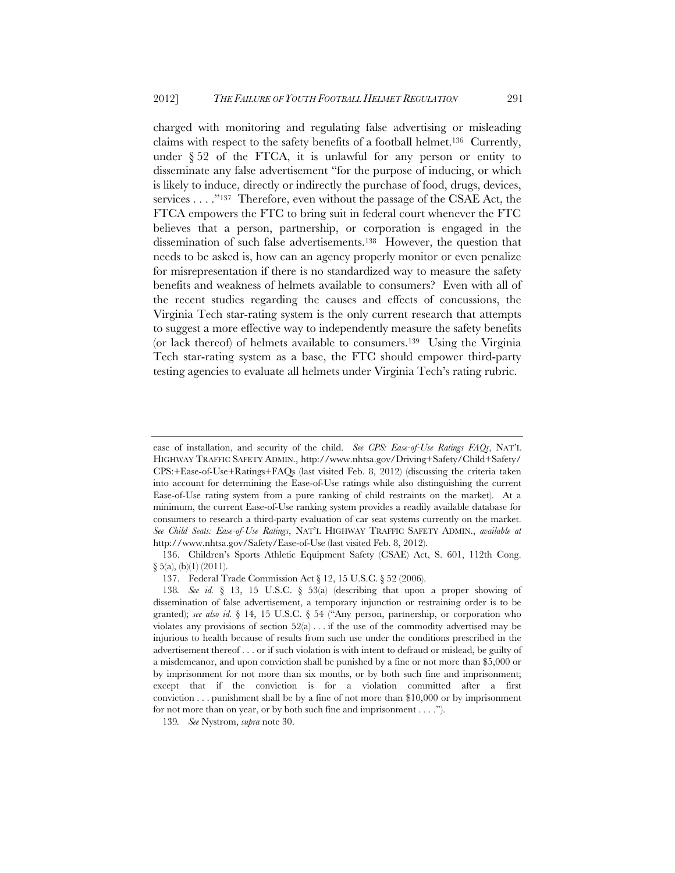charged with monitoring and regulating false advertising or misleading claims with respect to the safety benefits of a football helmet.<sup>136</sup> Currently, under  $\S 52$  of the FTCA, it is unlawful for any person or entity to disseminate any false advertisement "for the purpose of inducing, or which is likely to induce, directly or indirectly the purchase of food, drugs, devices, services . . . ."137 Therefore, even without the passage of the CSAE Act, the FTCA empowers the FTC to bring suit in federal court whenever the FTC believes that a person, partnership, or corporation is engaged in the dissemination of such false advertisements.138 However, the question that needs to be asked is, how can an agency properly monitor or even penalize for misrepresentation if there is no standardized way to measure the safety benefits and weakness of helmets available to consumers? Even with all of the recent studies regarding the causes and effects of concussions, the Virginia Tech star-rating system is the only current research that attempts to suggest a more effective way to independently measure the safety benefits (or lack thereof) of helmets available to consumers.139 Using the Virginia Tech star-rating system as a base, the FTC should empower third-party testing agencies to evaluate all helmets under Virginia Tech's rating rubric.

136. Children's Sports Athletic Equipment Safety (CSAE) Act, S. 601, 112th Cong.  $\S$  5(a), (b)(1) (2011).

ease of installation, and security of the child. *See CPS: Ease-of-Use Ratings FAQs*, NAT'L HIGHWAY TRAFFIC SAFETY ADMIN., http://www.nhtsa.gov/Driving+Safety/Child+Safety/ CPS:+Ease-of-Use+Ratings+FAQs (last visited Feb. 8, 2012) (discussing the criteria taken into account for determining the Ease-of-Use ratings while also distinguishing the current Ease-of-Use rating system from a pure ranking of child restraints on the market). At a minimum, the current Ease-of-Use ranking system provides a readily available database for consumers to research a third-party evaluation of car seat systems currently on the market. *See Child Seats: Ease-of-Use Ratings*, NAT'L HIGHWAY TRAFFIC SAFETY ADMIN., *available at*  http://www.nhtsa.gov/Safety/Ease-of-Use (last visited Feb. 8, 2012).

<sup>137.</sup> Federal Trade Commission Act § 12, 15 U.S.C. § 52 (2006).

<sup>138</sup>*. See id.* § 13, 15 U.S.C. § 53(a) (describing that upon a proper showing of dissemination of false advertisement, a temporary injunction or restraining order is to be granted); *see also id.* § 14, 15 U.S.C. § 54 ("Any person, partnership, or corporation who violates any provisions of section  $52(a) \dots$  if the use of the commodity advertised may be injurious to health because of results from such use under the conditions prescribed in the advertisement thereof . . . or if such violation is with intent to defraud or mislead, be guilty of a misdemeanor, and upon conviction shall be punished by a fine or not more than \$5,000 or by imprisonment for not more than six months, or by both such fine and imprisonment; except that if the conviction is for a violation committed after a first conviction . . . punishment shall be by a fine of not more than \$10,000 or by imprisonment for not more than on year, or by both such fine and imprisonment . . . .").

<sup>139</sup>*. See* Nystrom, *supra* note 30.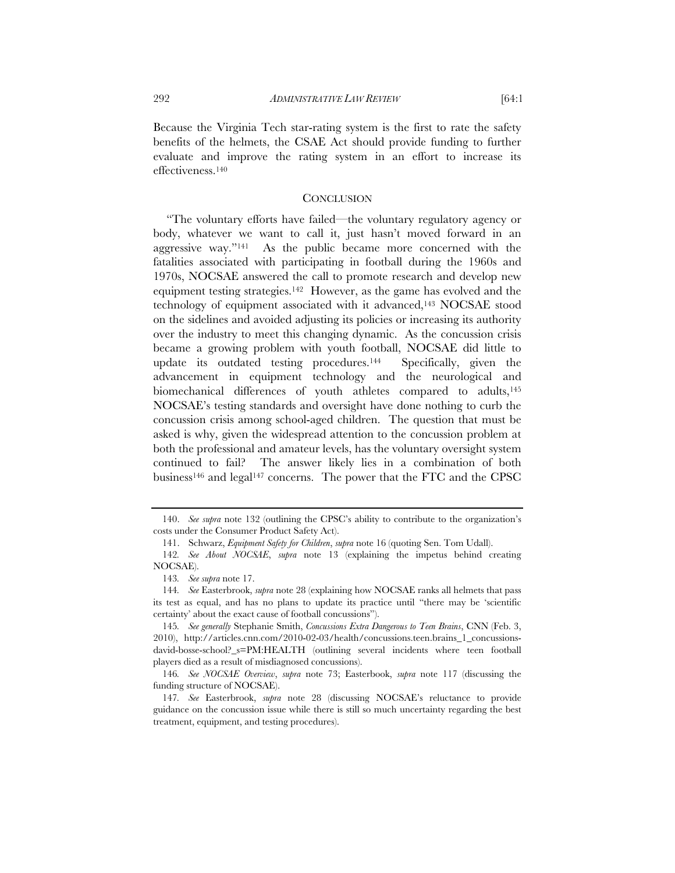Because the Virginia Tech star-rating system is the first to rate the safety benefits of the helmets, the CSAE Act should provide funding to further evaluate and improve the rating system in an effort to increase its effectiveness.140

#### **CONCLUSION**

"The voluntary efforts have failed—the voluntary regulatory agency or body, whatever we want to call it, just hasn't moved forward in an aggressive way."141 As the public became more concerned with the fatalities associated with participating in football during the 1960s and 1970s, NOCSAE answered the call to promote research and develop new equipment testing strategies.142 However, as the game has evolved and the technology of equipment associated with it advanced,143 NOCSAE stood on the sidelines and avoided adjusting its policies or increasing its authority over the industry to meet this changing dynamic. As the concussion crisis became a growing problem with youth football, NOCSAE did little to update its outdated testing procedures.144 Specifically, given the advancement in equipment technology and the neurological and biomechanical differences of youth athletes compared to adults,145 NOCSAE's testing standards and oversight have done nothing to curb the concussion crisis among school-aged children. The question that must be asked is why, given the widespread attention to the concussion problem at both the professional and amateur levels, has the voluntary oversight system continued to fail? The answer likely lies in a combination of both business146 and legal147 concerns. The power that the FTC and the CPSC

 <sup>140.</sup> *See supra* note 132 (outlining the CPSC's ability to contribute to the organization's costs under the Consumer Product Safety Act).

 <sup>141.</sup> Schwarz, *Equipment Safety for Children*, *supra* note 16 (quoting Sen. Tom Udall).

<sup>142</sup>*. See About NOCSAE*, *supra* note 13 (explaining the impetus behind creating NOCSAE).

<sup>143</sup>*. See supra* note 17.

<sup>144</sup>*. See* Easterbrook, *supra* note 28 (explaining how NOCSAE ranks all helmets that pass its test as equal, and has no plans to update its practice until "there may be 'scientific certainty' about the exact cause of football concussions").

<sup>145</sup>*. See generally* Stephanie Smith, *Concussions Extra Dangerous to Teen Brains*, CNN (Feb. 3, 2010), http://articles.cnn.com/2010-02-03/health/concussions.teen.brains\_1\_concussionsdavid-bosse-school?\_s=PM:HEALTH (outlining several incidents where teen football players died as a result of misdiagnosed concussions).

<sup>146</sup>*. See NOCSAE Overview*, *supra* note 73; Easterbook, *supra* note 117 (discussing the funding structure of NOCSAE).

<sup>147</sup>*. See* Easterbrook, *supra* note 28 (discussing NOCSAE's reluctance to provide guidance on the concussion issue while there is still so much uncertainty regarding the best treatment, equipment, and testing procedures).